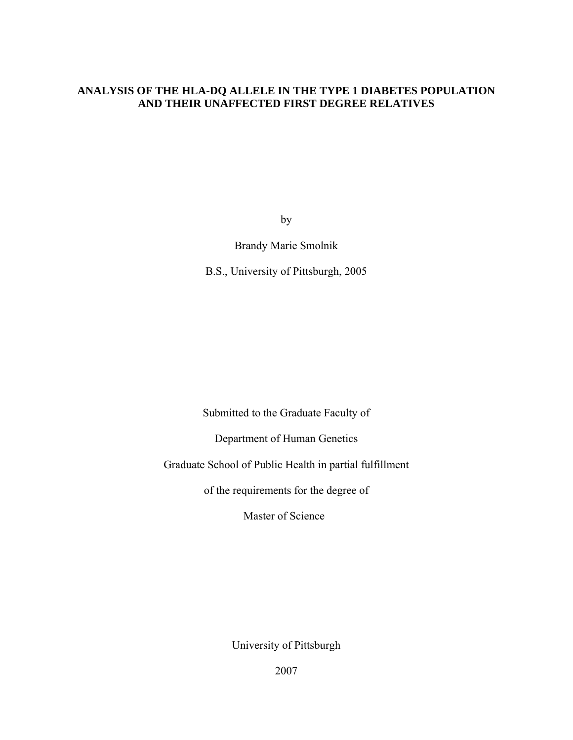# **ANALYSIS OF THE HLA-DQ ALLELE IN THE TYPE 1 DIABETES POPULATION AND THEIR UNAFFECTED FIRST DEGREE RELATIVES**

by

Brandy Marie Smolnik

B.S., University of Pittsburgh, 2005

Submitted to the Graduate Faculty of

Department of Human Genetics

Graduate School of Public Health in partial fulfillment

of the requirements for the degree of

Master of Science

University of Pittsburgh

2007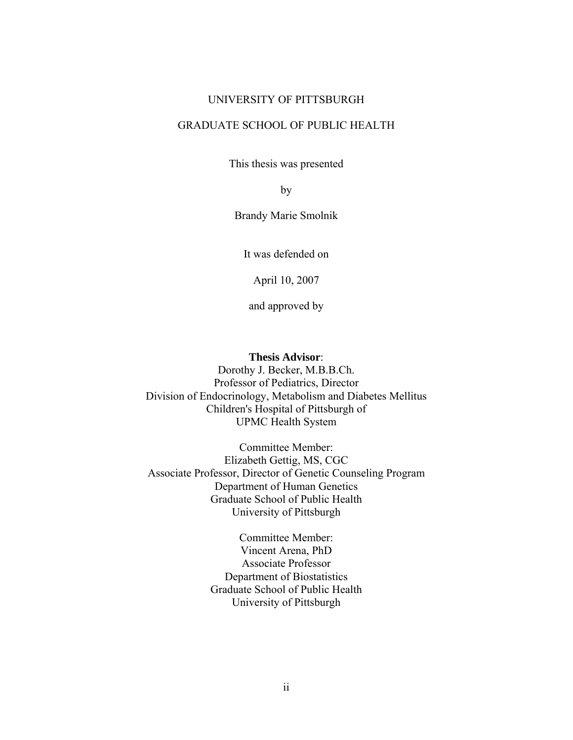#### UNIVERSITY OF PITTSBURGH

# GRADUATE SCHOOL OF PUBLIC HEALTH

This thesis was presented

by

Brandy Marie Smolnik

It was defended on

April 10, 2007

and approved by

### **Thesis Advisor**:

Dorothy J. Becker, M.B.B.Ch. Professor of Pediatrics, Director Division of Endocrinology, Metabolism and Diabetes Mellitus Children's Hospital of Pittsburgh of UPMC Health System

Committee Member: Elizabeth Gettig, MS, CGC Associate Professor, Director of Genetic Counseling Program Department of Human Genetics Graduate School of Public Health University of Pittsburgh

> Committee Member: Vincent Arena, PhD Associate Professor Department of Biostatistics Graduate School of Public Health University of Pittsburgh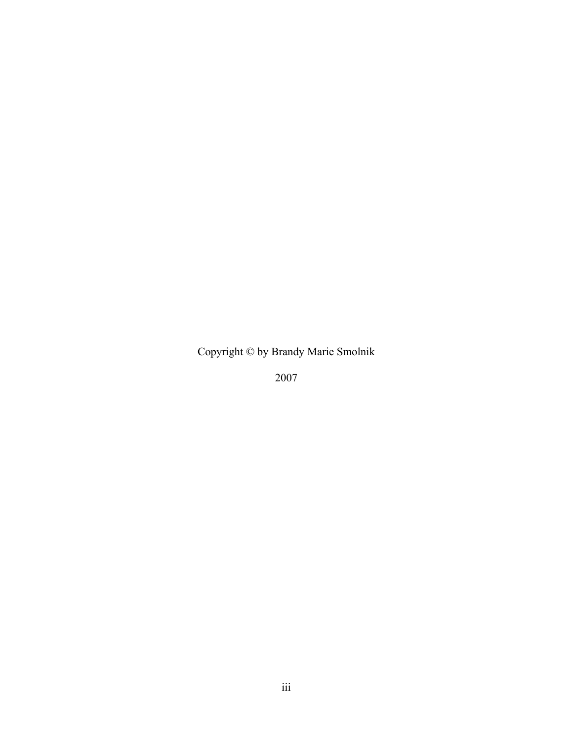Copyright © by Brandy Marie Smolnik

2007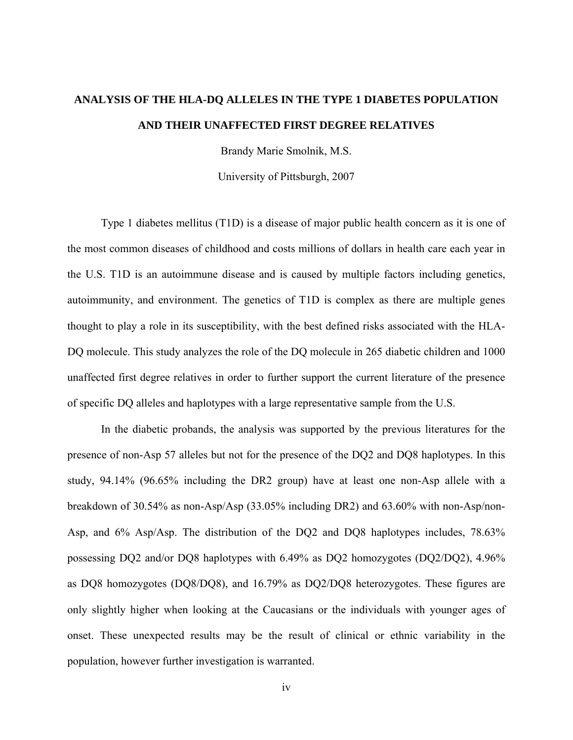# **ANALYSIS OF THE HLA-DQ ALLELES IN THE TYPE 1 DIABETES POPULATION AND THEIR UNAFFECTED FIRST DEGREE RELATIVES**

Brandy Marie Smolnik, M.S.

University of Pittsburgh, 2007

Type 1 diabetes mellitus (T1D) is a disease of major public health concern as it is one of the most common diseases of childhood and costs millions of dollars in health care each year in the U.S. T1D is an autoimmune disease and is caused by multiple factors including genetics, autoimmunity, and environment. The genetics of T1D is complex as there are multiple genes thought to play a role in its susceptibility, with the best defined risks associated with the HLA-DQ molecule. This study analyzes the role of the DQ molecule in 265 diabetic children and 1000 unaffected first degree relatives in order to further support the current literature of the presence of specific DQ alleles and haplotypes with a large representative sample from the U.S.

In the diabetic probands, the analysis was supported by the previous literatures for the presence of non-Asp 57 alleles but not for the presence of the DQ2 and DQ8 haplotypes. In this study, 94.14% (96.65% including the DR2 group) have at least one non-Asp allele with a breakdown of 30.54% as non-Asp/Asp (33.05% including DR2) and 63.60% with non-Asp/non-Asp, and 6% Asp/Asp. The distribution of the DQ2 and DQ8 haplotypes includes, 78.63% possessing DQ2 and/or DQ8 haplotypes with 6.49% as DQ2 homozygotes (DQ2/DQ2), 4.96% as DQ8 homozygotes (DQ8/DQ8), and 16.79% as DQ2/DQ8 heterozygotes. These figures are only slightly higher when looking at the Caucasians or the individuals with younger ages of onset. These unexpected results may be the result of clinical or ethnic variability in the population, however further investigation is warranted.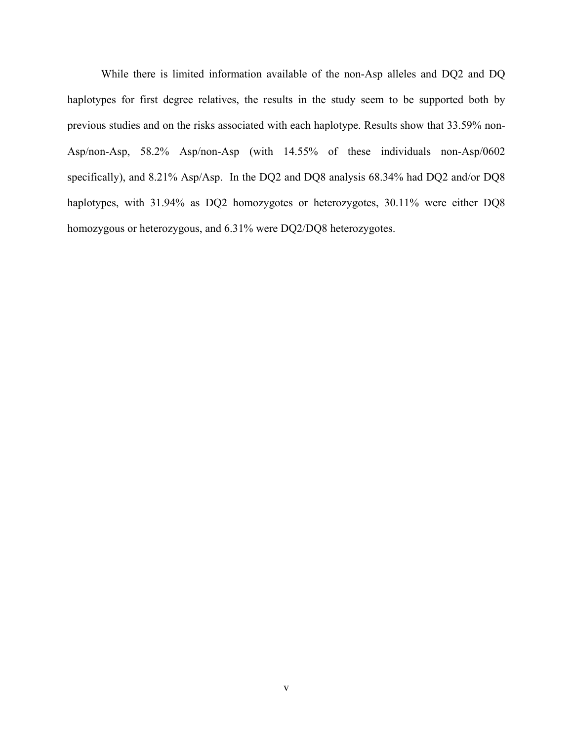While there is limited information available of the non-Asp alleles and DQ2 and DQ haplotypes for first degree relatives, the results in the study seem to be supported both by previous studies and on the risks associated with each haplotype. Results show that 33.59% non-Asp/non-Asp, 58.2% Asp/non-Asp (with 14.55% of these individuals non-Asp/0602 specifically), and 8.21% Asp/Asp. In the DQ2 and DQ8 analysis 68.34% had DQ2 and/or DQ8 haplotypes, with 31.94% as DQ2 homozygotes or heterozygotes, 30.11% were either DQ8 homozygous or heterozygous, and 6.31% were DQ2/DQ8 heterozygotes.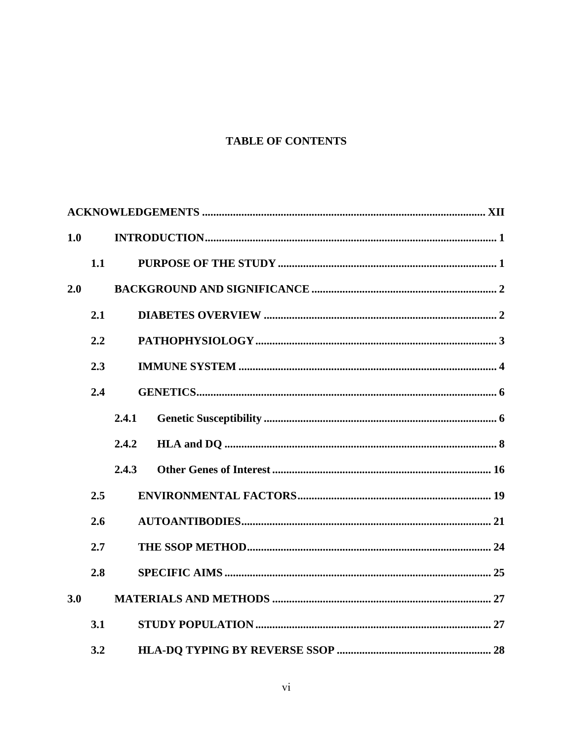# **TABLE OF CONTENTS**

| 1.0 |     |       |  |  |
|-----|-----|-------|--|--|
|     | 1.1 |       |  |  |
| 2.0 |     |       |  |  |
|     | 2.1 |       |  |  |
|     | 2.2 |       |  |  |
|     | 2.3 |       |  |  |
|     | 2.4 |       |  |  |
|     |     | 2.4.1 |  |  |
|     |     | 2.4.2 |  |  |
|     |     | 2.4.3 |  |  |
|     | 2.5 |       |  |  |
|     | 2.6 |       |  |  |
|     | 2.7 |       |  |  |
|     | 2.8 |       |  |  |
| 3.0 |     |       |  |  |
|     | 3.1 |       |  |  |
|     | 3.2 |       |  |  |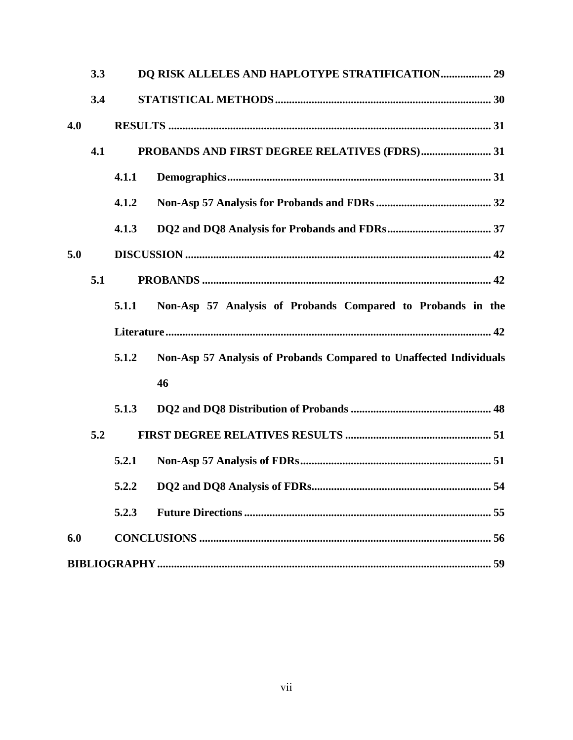|     | 3.3 |       | DQ RISK ALLELES AND HAPLOTYPE STRATIFICATION 29                    |
|-----|-----|-------|--------------------------------------------------------------------|
|     | 3.4 |       |                                                                    |
| 4.0 |     |       |                                                                    |
|     | 4.1 |       |                                                                    |
|     |     | 4.1.1 |                                                                    |
|     |     | 4.1.2 |                                                                    |
|     |     | 4.1.3 |                                                                    |
| 5.0 |     |       |                                                                    |
|     | 5.1 |       |                                                                    |
|     |     | 5.1.1 | Non-Asp 57 Analysis of Probands Compared to Probands in the        |
|     |     |       |                                                                    |
|     |     | 5.1.2 | Non-Asp 57 Analysis of Probands Compared to Unaffected Individuals |
|     |     |       | 46                                                                 |
|     |     | 5.1.3 |                                                                    |
|     | 5.2 |       |                                                                    |
|     |     | 5.2.1 |                                                                    |
|     |     |       |                                                                    |
|     |     | 5.2.3 |                                                                    |
| 6.0 |     |       |                                                                    |
|     |     |       |                                                                    |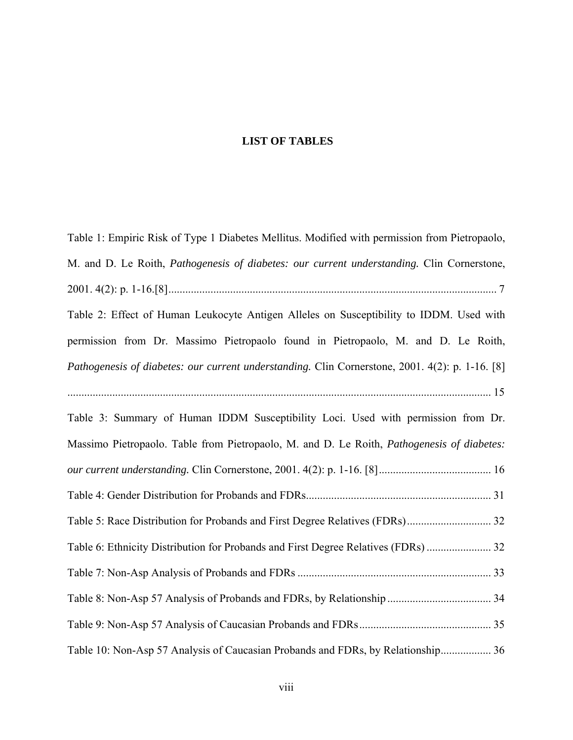#### **LIST OF TABLES**

[Table 1: Empiric Risk of Type 1 Diabetes Mellitus. Modified with permission from Pietropaolo,](#page-18-0)  M. and D. Le Roith, *[Pathogenesis of diabetes: our current understanding.](#page-18-0)* Clin Cornerstone, [2001. 4\(2\): p. 1-16.\[8\]..................................................................................................................... 7](#page-18-0)  [Table 2: Effect of Human Leukocyte Antigen Alleles on Susceptibility to IDDM. Used with](#page-26-0)  [permission from Dr. Massimo Pietropaolo found in Pietropaolo, M. and D. Le Roith,](#page-26-0)  *[Pathogenesis of diabetes: our current understanding.](#page-26-0)* Clin Cornerstone, 2001. 4(2): p. 1-16. [8] [....................................................................................................................................................... 15](#page-26-0)  [Table 3: Summary of Human IDDM Susceptibility Loci. Used with permission from Dr.](#page-27-0)  [Massimo Pietropaolo. Table from Pietropaolo, M. and D. Le Roith,](#page-27-0) *Pathogenesis of diabetes: our current understanding.* [Clin Cornerstone, 2001. 4\(2\): p. 1-16. \[8\]........................................ 16](#page-27-0)  [Table 4: Gender Distribution for Probands and FDRs.................................................................. 31](#page-42-0)  [Table 5: Race Distribution for Probands and First Degree Relatives \(FDRs\).............................. 32](#page-43-0)  [Table 6: Ethnicity Distribution for Probands and First Degree Relatives \(FDRs\)](#page-43-0) ....................... 32 [Table 7: Non-Asp Analysis of Probands and FDRs ..................................................................... 33](#page-44-0)  [Table 8: Non-Asp 57 Analysis of Probands and FDRs, by Relationship](#page-45-0) ..................................... 34 [Table 9: Non-Asp 57 Analysis of Caucasian Probands and FDRs............................................... 35](#page-46-0)  [Table 10: Non-Asp 57 Analysis of Caucasian Probands and FDRs, by Relationship.................. 36](#page-47-0)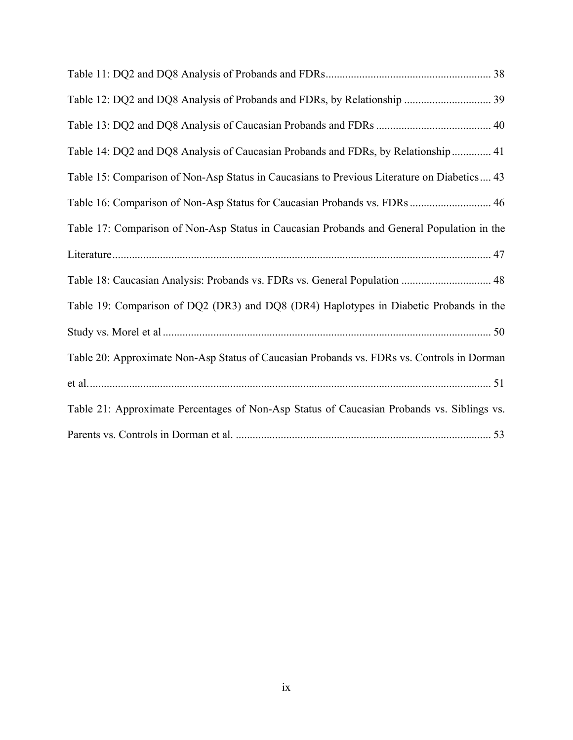| Table 14: DQ2 and DQ8 Analysis of Caucasian Probands and FDRs, by Relationship  41          |
|---------------------------------------------------------------------------------------------|
| Table 15: Comparison of Non-Asp Status in Caucasians to Previous Literature on Diabetics 43 |
| Table 16: Comparison of Non-Asp Status for Caucasian Probands vs. FDRs  46                  |
| Table 17: Comparison of Non-Asp Status in Caucasian Probands and General Population in the  |
|                                                                                             |
| Table 18: Caucasian Analysis: Probands vs. FDRs vs. General Population  48                  |
| Table 19: Comparison of DQ2 (DR3) and DQ8 (DR4) Haplotypes in Diabetic Probands in the      |
|                                                                                             |
| Table 20: Approximate Non-Asp Status of Caucasian Probands vs. FDRs vs. Controls in Dorman  |
|                                                                                             |
| Table 21: Approximate Percentages of Non-Asp Status of Caucasian Probands vs. Siblings vs.  |
|                                                                                             |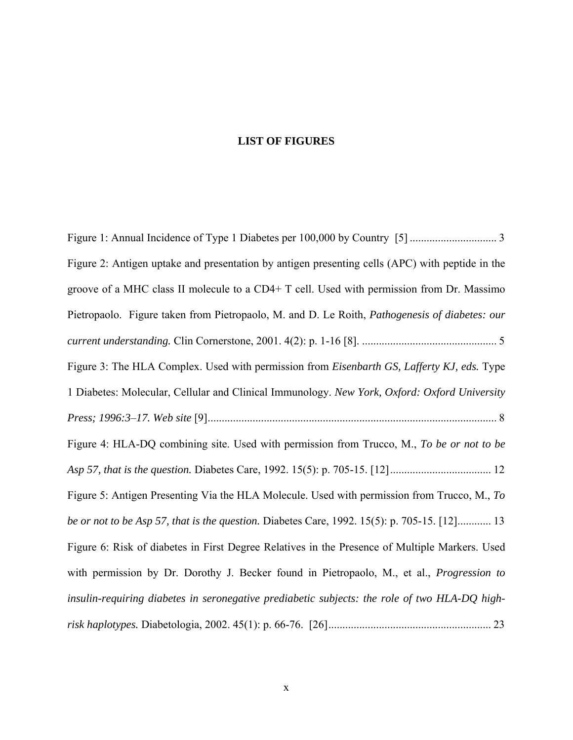# **LIST OF FIGURES**

| Figure 2: Antigen uptake and presentation by antigen presenting cells (APC) with peptide in the |
|-------------------------------------------------------------------------------------------------|
| groove of a MHC class II molecule to a CD4+ T cell. Used with permission from Dr. Massimo       |
| Pietropaolo. Figure taken from Pietropaolo, M. and D. Le Roith, Pathogenesis of diabetes: our   |
|                                                                                                 |
| Figure 3: The HLA Complex. Used with permission from Eisenbarth GS, Lafferty KJ, eds. Type      |
| 1 Diabetes: Molecular, Cellular and Clinical Immunology. New York, Oxford: Oxford University    |
|                                                                                                 |
| Figure 4: HLA-DQ combining site. Used with permission from Trucco, M., To be or not to be       |
|                                                                                                 |
| Figure 5: Antigen Presenting Via the HLA Molecule. Used with permission from Trucco, M., To     |
| be or not to be Asp 57, that is the question. Diabetes Care, 1992. 15(5): p. 705-15. [12] 13    |
| Figure 6: Risk of diabetes in First Degree Relatives in the Presence of Multiple Markers. Used  |
| with permission by Dr. Dorothy J. Becker found in Pietropaolo, M., et al., Progression to       |
| insulin-requiring diabetes in seronegative prediabetic subjects: the role of two HLA-DQ high-   |
|                                                                                                 |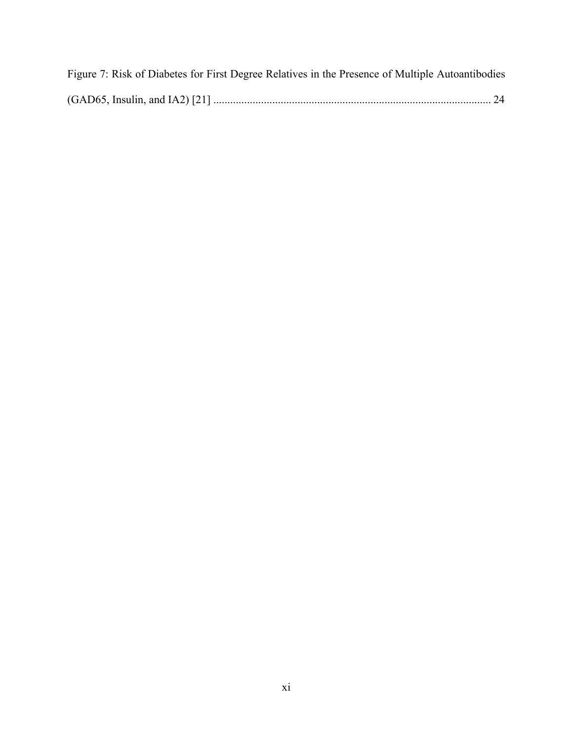| Figure 7: Risk of Diabetes for First Degree Relatives in the Presence of Multiple Autoantibodies |  |  |
|--------------------------------------------------------------------------------------------------|--|--|
|                                                                                                  |  |  |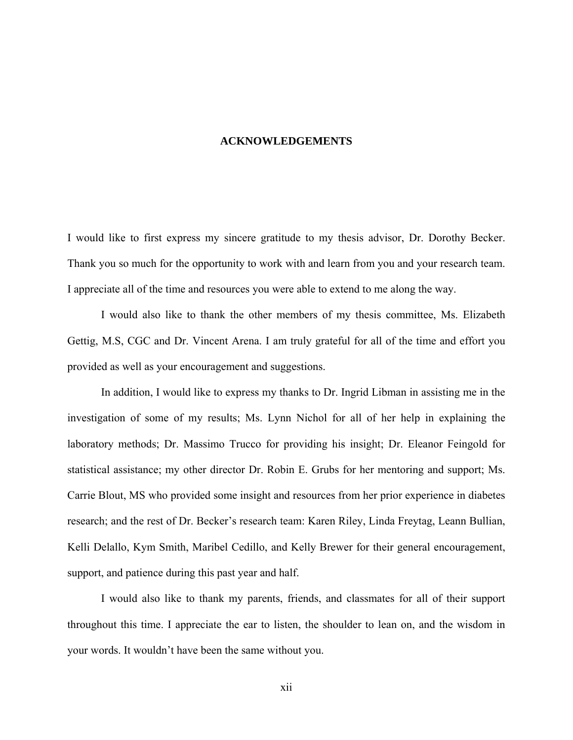#### **ACKNOWLEDGEMENTS**

<span id="page-11-0"></span>I would like to first express my sincere gratitude to my thesis advisor, Dr. Dorothy Becker. Thank you so much for the opportunity to work with and learn from you and your research team. I appreciate all of the time and resources you were able to extend to me along the way.

I would also like to thank the other members of my thesis committee, Ms. Elizabeth Gettig, M.S, CGC and Dr. Vincent Arena. I am truly grateful for all of the time and effort you provided as well as your encouragement and suggestions.

In addition, I would like to express my thanks to Dr. Ingrid Libman in assisting me in the investigation of some of my results; Ms. Lynn Nichol for all of her help in explaining the laboratory methods; Dr. Massimo Trucco for providing his insight; Dr. Eleanor Feingold for statistical assistance; my other director Dr. Robin E. Grubs for her mentoring and support; Ms. Carrie Blout, MS who provided some insight and resources from her prior experience in diabetes research; and the rest of Dr. Becker's research team: Karen Riley, Linda Freytag, Leann Bullian, Kelli Delallo, Kym Smith, Maribel Cedillo, and Kelly Brewer for their general encouragement, support, and patience during this past year and half.

I would also like to thank my parents, friends, and classmates for all of their support throughout this time. I appreciate the ear to listen, the shoulder to lean on, and the wisdom in your words. It wouldn't have been the same without you.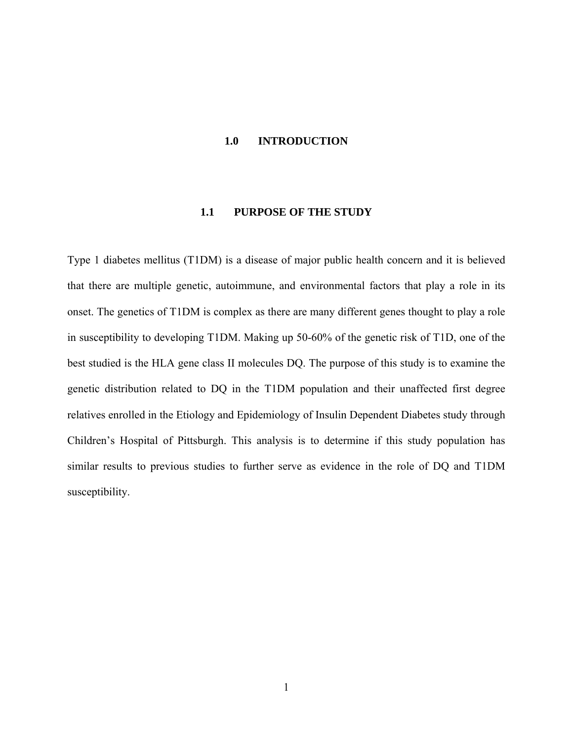#### <span id="page-12-0"></span>**1.0 INTRODUCTION**

#### **1.1 PURPOSE OF THE STUDY**

Type 1 diabetes mellitus (T1DM) is a disease of major public health concern and it is believed that there are multiple genetic, autoimmune, and environmental factors that play a role in its onset. The genetics of T1DM is complex as there are many different genes thought to play a role in susceptibility to developing T1DM. Making up 50-60% of the genetic risk of T1D, one of the best studied is the HLA gene class II molecules DQ. The purpose of this study is to examine the genetic distribution related to DQ in the T1DM population and their unaffected first degree relatives enrolled in the Etiology and Epidemiology of Insulin Dependent Diabetes study through Children's Hospital of Pittsburgh. This analysis is to determine if this study population has similar results to previous studies to further serve as evidence in the role of DQ and T1DM susceptibility.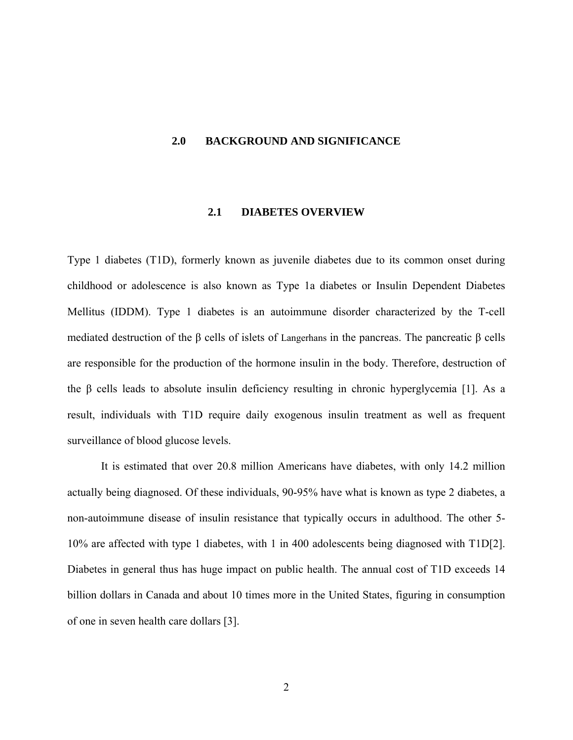#### <span id="page-13-0"></span>**2.0 BACKGROUND AND SIGNIFICANCE**

#### **2.1 DIABETES OVERVIEW**

Type 1 diabetes (T1D), formerly known as juvenile diabetes due to its common onset during childhood or adolescence is also known as Type 1a diabetes or Insulin Dependent Diabetes Mellitus (IDDM). Type 1 diabetes is an autoimmune disorder characterized by the T-cell mediated destruction of the β cells of islets of Langerhans in the pancreas. The pancreatic β cells are responsible for the production of the hormone insulin in the body. Therefore, destruction of the β cells leads to absolute insulin deficiency resulting in chronic hyperglycemia [1]. As a result, individuals with T1D require daily exogenous insulin treatment as well as frequent surveillance of blood glucose levels.

It is estimated that over 20.8 million Americans have diabetes, with only 14.2 million actually being diagnosed. Of these individuals, 90-95% have what is known as type 2 diabetes, a non-autoimmune disease of insulin resistance that typically occurs in adulthood. The other 5- 10% are affected with type 1 diabetes, with 1 in 400 adolescents being diagnosed with T1D[2]. Diabetes in general thus has huge impact on public health. The annual cost of T1D exceeds 14 billion dollars in Canada and about 10 times more in the United States, figuring in consumption of one in seven health care dollars [3].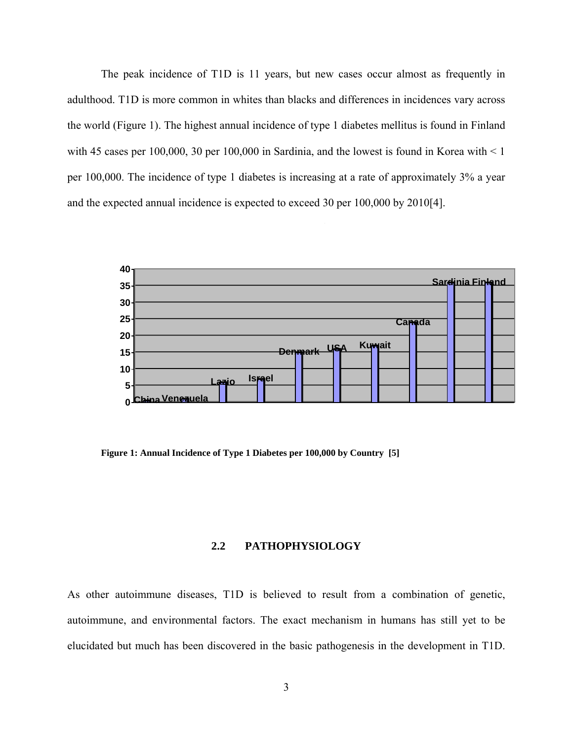<span id="page-14-0"></span>The peak incidence of T1D is 11 years, but new cases occur almost as frequently in adulthood. T1D is more common in whites than blacks and differences in incidences vary across the world (Figure 1). The highest annual incidence of type 1 diabetes mellitus is found in Finland with 45 cases per 100,000, 30 per 100,000 in Sardinia, and the lowest is found in Korea with  $\leq 1$ per 100,000. The incidence of type 1 diabetes is increasing at a rate of approximately 3% a year and the expected annual incidence is expected to exceed 30 per 100,000 by 2010[4].



**Figure 1: Annual Incidence of Type 1 Diabetes per 100,000 by Country [5]** 

# **2.2 PATHOPHYSIOLOGY**

As other autoimmune diseases, T1D is believed to result from a combination of genetic, autoimmune, and environmental factors. The exact mechanism in humans has still yet to be elucidated but much has been discovered in the basic pathogenesis in the development in T1D.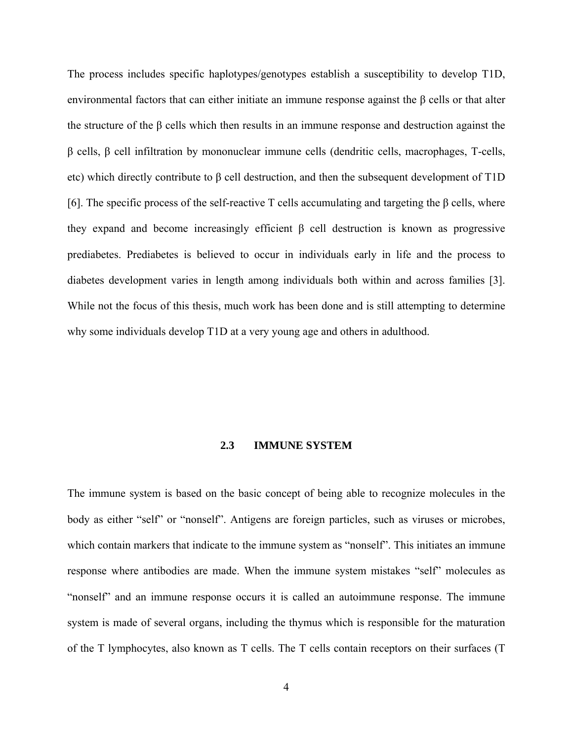<span id="page-15-0"></span>The process includes specific haplotypes/genotypes establish a susceptibility to develop T1D, environmental factors that can either initiate an immune response against the  $\beta$  cells or that alter the structure of the β cells which then results in an immune response and destruction against the β cells, β cell infiltration by mononuclear immune cells (dendritic cells, macrophages, T-cells, etc) which directly contribute to β cell destruction, and then the subsequent development of T1D [6]. The specific process of the self-reactive T cells accumulating and targeting the  $\beta$  cells, where they expand and become increasingly efficient β cell destruction is known as progressive prediabetes. Prediabetes is believed to occur in individuals early in life and the process to diabetes development varies in length among individuals both within and across families [3]. While not the focus of this thesis, much work has been done and is still attempting to determine why some individuals develop T1D at a very young age and others in adulthood.

#### **2.3 IMMUNE SYSTEM**

The immune system is based on the basic concept of being able to recognize molecules in the body as either "self" or "nonself". Antigens are foreign particles, such as viruses or microbes, which contain markers that indicate to the immune system as "nonself". This initiates an immune response where antibodies are made. When the immune system mistakes "self" molecules as "nonself" and an immune response occurs it is called an autoimmune response. The immune system is made of several organs, including the thymus which is responsible for the maturation of the T lymphocytes, also known as T cells. The T cells contain receptors on their surfaces (T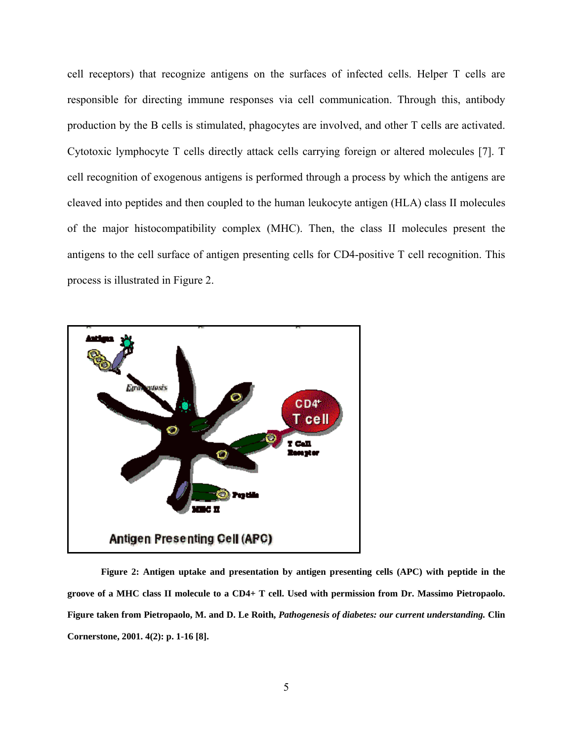<span id="page-16-0"></span>cell receptors) that recognize antigens on the surfaces of infected cells. Helper T cells are responsible for directing immune responses via cell communication. Through this, antibody production by the B cells is stimulated, phagocytes are involved, and other T cells are activated. Cytotoxic lymphocyte T cells directly attack cells carrying foreign or altered molecules [7]. T cell recognition of exogenous antigens is performed through a process by which the antigens are cleaved into peptides and then coupled to the human leukocyte antigen (HLA) class II molecules of the major histocompatibility complex (MHC). Then, the class II molecules present the antigens to the cell surface of antigen presenting cells for CD4-positive T cell recognition. This process is illustrated in Figure 2.



**Figure 2: Antigen uptake and presentation by antigen presenting cells (APC) with peptide in the groove of a MHC class II molecule to a CD4+ T cell. Used with permission from Dr. Massimo Pietropaolo. Figure taken from Pietropaolo, M. and D. Le Roith,** *Pathogenesis of diabetes: our current understanding.* **Clin Cornerstone, 2001. 4(2): p. 1-16 [8].**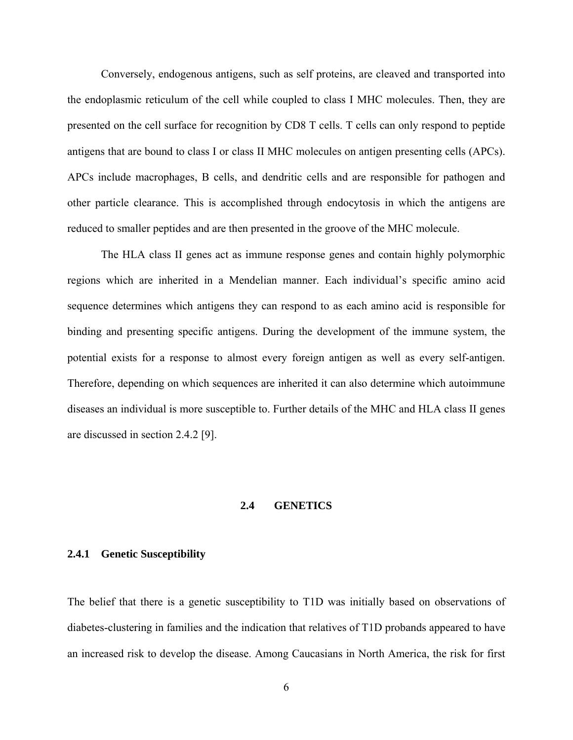<span id="page-17-0"></span>Conversely, endogenous antigens, such as self proteins, are cleaved and transported into the endoplasmic reticulum of the cell while coupled to class I MHC molecules. Then, they are presented on the cell surface for recognition by CD8 T cells. T cells can only respond to peptide antigens that are bound to class I or class II MHC molecules on antigen presenting cells (APCs). APCs include macrophages, B cells, and dendritic cells and are responsible for pathogen and other particle clearance. This is accomplished through endocytosis in which the antigens are reduced to smaller peptides and are then presented in the groove of the MHC molecule.

The HLA class II genes act as immune response genes and contain highly polymorphic regions which are inherited in a Mendelian manner. Each individual's specific amino acid sequence determines which antigens they can respond to as each amino acid is responsible for binding and presenting specific antigens. During the development of the immune system, the potential exists for a response to almost every foreign antigen as well as every self-antigen. Therefore, depending on which sequences are inherited it can also determine which autoimmune diseases an individual is more susceptible to. Further details of the MHC and HLA class II genes are discussed in section 2.4.2 [9].

#### **2.4 GENETICS**

#### **2.4.1 Genetic Susceptibility**

The belief that there is a genetic susceptibility to T1D was initially based on observations of diabetes-clustering in families and the indication that relatives of T1D probands appeared to have an increased risk to develop the disease. Among Caucasians in North America, the risk for first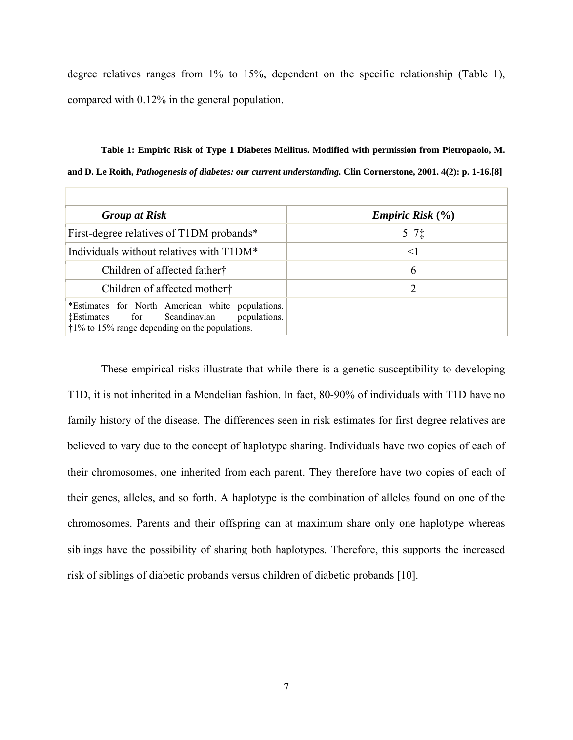<span id="page-18-0"></span>degree relatives ranges from 1% to 15%, dependent on the specific relationship (Table 1), compared with 0.12% in the general population.

**Table 1: Empiric Risk of Type 1 Diabetes Mellitus. Modified with permission from Pietropaolo, M. and D. Le Roith,** *Pathogenesis of diabetes: our current understanding.* **Clin Cornerstone, 2001. 4(2): p. 1-16.[8]** 

| <b>Group at Risk</b>                                                                                                                                                           | <i>Empiric Risk</i> $(\% )$ |
|--------------------------------------------------------------------------------------------------------------------------------------------------------------------------------|-----------------------------|
| First-degree relatives of T1DM probands*                                                                                                                                       | $5 - 71$                    |
| Individuals without relatives with T1DM <sup>*</sup>                                                                                                                           | $\leq$                      |
| Children of affected father <sup>†</sup>                                                                                                                                       | 6                           |
| Children of affected mother <sup>†</sup>                                                                                                                                       |                             |
| *Estimates for North American white populations.<br><b>Example 1.</b> Estimates for Scandinavian<br>populations.<br>$\dot{\tau}$ 1% to 15% range depending on the populations. |                             |

These empirical risks illustrate that while there is a genetic susceptibility to developing T1D, it is not inherited in a Mendelian fashion. In fact, 80-90% of individuals with T1D have no family history of the disease. The differences seen in risk estimates for first degree relatives are believed to vary due to the concept of haplotype sharing. Individuals have two copies of each of their chromosomes, one inherited from each parent. They therefore have two copies of each of their genes, alleles, and so forth. A haplotype is the combination of alleles found on one of the chromosomes. Parents and their offspring can at maximum share only one haplotype whereas siblings have the possibility of sharing both haplotypes. Therefore, this supports the increased risk of siblings of diabetic probands versus children of diabetic probands [10].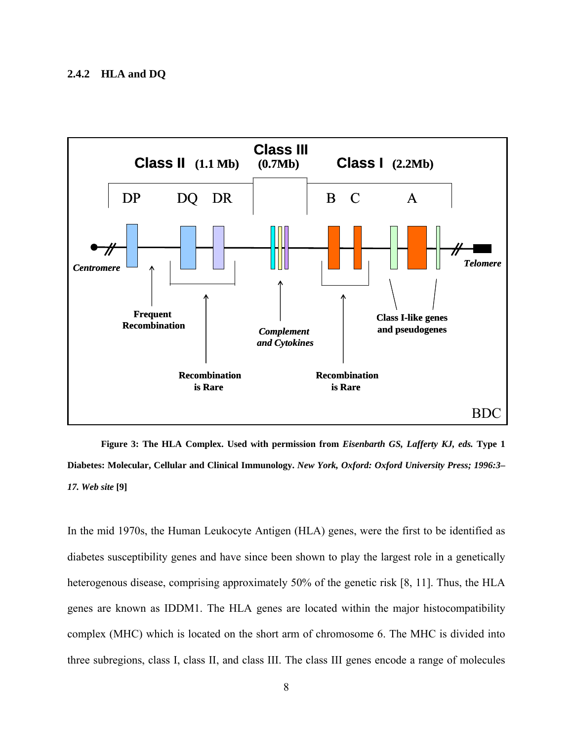<span id="page-19-0"></span>

**Figure 3: The HLA Complex. Used with permission from** *Eisenbarth GS, Lafferty KJ, eds.* **Type 1 Diabetes: Molecular, Cellular and Clinical Immunology.** *New York, Oxford: Oxford University Press; 1996:3***–** *17. Web site* **[9]** 

In the mid 1970s, the Human Leukocyte Antigen (HLA) genes, were the first to be identified as diabetes susceptibility genes and have since been shown to play the largest role in a genetically heterogenous disease, comprising approximately 50% of the genetic risk [8, 11]. Thus, the HLA genes are known as IDDM1. The HLA genes are located within the major histocompatibility complex (MHC) which is located on the short arm of chromosome 6. The MHC is divided into three subregions, class I, class II, and class III. The class III genes encode a range of molecules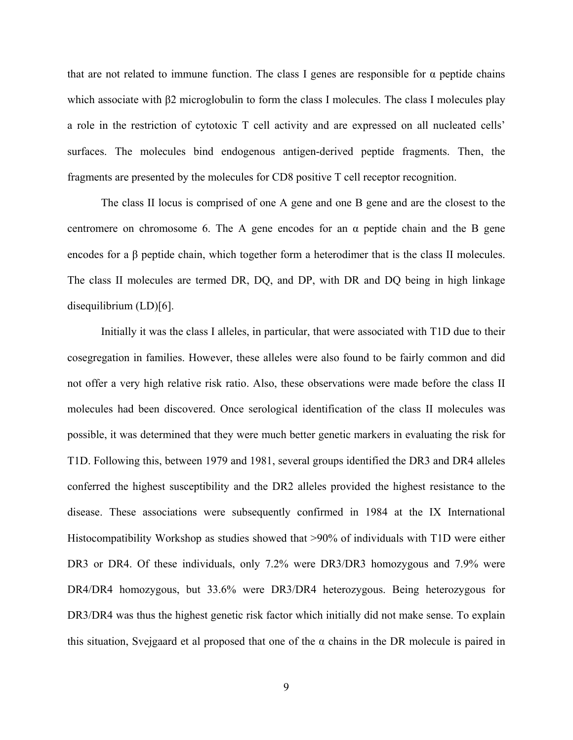that are not related to immune function. The class I genes are responsible for  $α$  peptide chains which associate with β2 microglobulin to form the class I molecules. The class I molecules play a role in the restriction of cytotoxic T cell activity and are expressed on all nucleated cells' surfaces. The molecules bind endogenous antigen-derived peptide fragments. Then, the fragments are presented by the molecules for CD8 positive T cell receptor recognition.

The class II locus is comprised of one A gene and one B gene and are the closest to the centromere on chromosome 6. The A gene encodes for an  $\alpha$  peptide chain and the B gene encodes for a β peptide chain, which together form a heterodimer that is the class II molecules. The class II molecules are termed DR, DQ, and DP, with DR and DQ being in high linkage disequilibrium (LD)[6].

Initially it was the class I alleles, in particular, that were associated with T1D due to their cosegregation in families. However, these alleles were also found to be fairly common and did not offer a very high relative risk ratio. Also, these observations were made before the class II molecules had been discovered. Once serological identification of the class II molecules was possible, it was determined that they were much better genetic markers in evaluating the risk for T1D. Following this, between 1979 and 1981, several groups identified the DR3 and DR4 alleles conferred the highest susceptibility and the DR2 alleles provided the highest resistance to the disease. These associations were subsequently confirmed in 1984 at the IX International Histocompatibility Workshop as studies showed that >90% of individuals with T1D were either DR3 or DR4. Of these individuals, only 7.2% were DR3/DR3 homozygous and 7.9% were DR4/DR4 homozygous, but 33.6% were DR3/DR4 heterozygous. Being heterozygous for DR3/DR4 was thus the highest genetic risk factor which initially did not make sense. To explain this situation, Svejgaard et al proposed that one of the  $\alpha$  chains in the DR molecule is paired in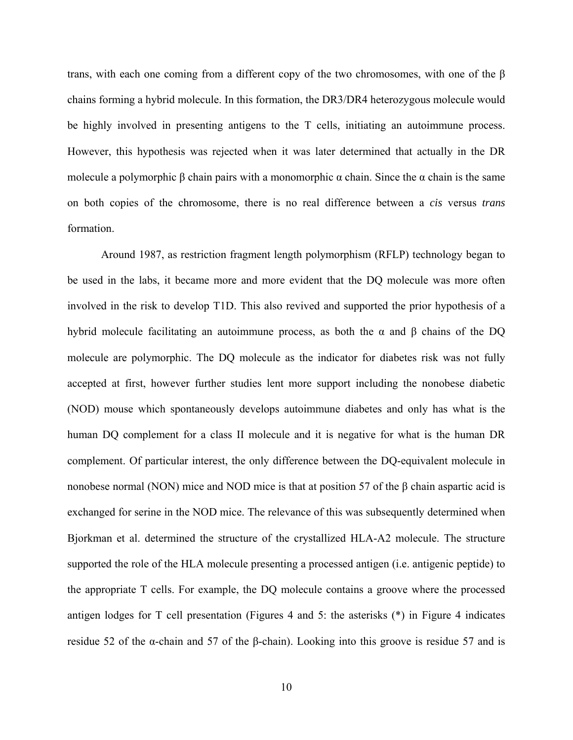trans, with each one coming from a different copy of the two chromosomes, with one of the β chains forming a hybrid molecule. In this formation, the DR3/DR4 heterozygous molecule would be highly involved in presenting antigens to the T cells, initiating an autoimmune process. However, this hypothesis was rejected when it was later determined that actually in the DR molecule a polymorphic β chain pairs with a monomorphic  $\alpha$  chain. Since the  $\alpha$  chain is the same on both copies of the chromosome, there is no real difference between a *cis* versus *trans* formation.

Around 1987, as restriction fragment length polymorphism (RFLP) technology began to be used in the labs, it became more and more evident that the DQ molecule was more often involved in the risk to develop T1D. This also revived and supported the prior hypothesis of a hybrid molecule facilitating an autoimmune process, as both the α and β chains of the DQ molecule are polymorphic. The DQ molecule as the indicator for diabetes risk was not fully accepted at first, however further studies lent more support including the nonobese diabetic (NOD) mouse which spontaneously develops autoimmune diabetes and only has what is the human DQ complement for a class II molecule and it is negative for what is the human DR complement. Of particular interest, the only difference between the DQ-equivalent molecule in nonobese normal (NON) mice and NOD mice is that at position 57 of the β chain aspartic acid is exchanged for serine in the NOD mice. The relevance of this was subsequently determined when Bjorkman et al. determined the structure of the crystallized HLA-A2 molecule. The structure supported the role of the HLA molecule presenting a processed antigen (i.e. antigenic peptide) to the appropriate T cells. For example, the DQ molecule contains a groove where the processed antigen lodges for T cell presentation (Figures 4 and 5: the asterisks (\*) in Figure 4 indicates residue 52 of the α-chain and 57 of the β-chain). Looking into this groove is residue 57 and is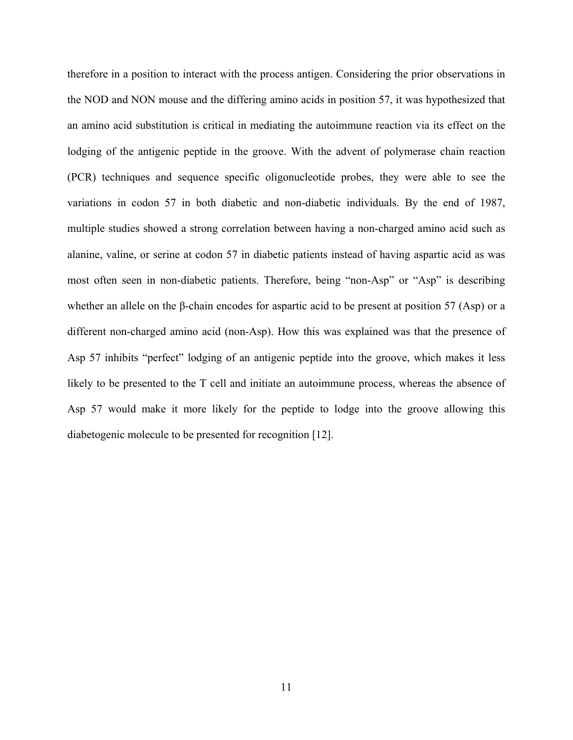therefore in a position to interact with the process antigen. Considering the prior observations in the NOD and NON mouse and the differing amino acids in position 57, it was hypothesized that an amino acid substitution is critical in mediating the autoimmune reaction via its effect on the lodging of the antigenic peptide in the groove. With the advent of polymerase chain reaction (PCR) techniques and sequence specific oligonucleotide probes, they were able to see the variations in codon 57 in both diabetic and non-diabetic individuals. By the end of 1987, multiple studies showed a strong correlation between having a non-charged amino acid such as alanine, valine, or serine at codon 57 in diabetic patients instead of having aspartic acid as was most often seen in non-diabetic patients. Therefore, being "non-Asp" or "Asp" is describing whether an allele on the β-chain encodes for aspartic acid to be present at position 57 (Asp) or a different non-charged amino acid (non-Asp). How this was explained was that the presence of Asp 57 inhibits "perfect" lodging of an antigenic peptide into the groove, which makes it less likely to be presented to the T cell and initiate an autoimmune process, whereas the absence of Asp 57 would make it more likely for the peptide to lodge into the groove allowing this diabetogenic molecule to be presented for recognition [12].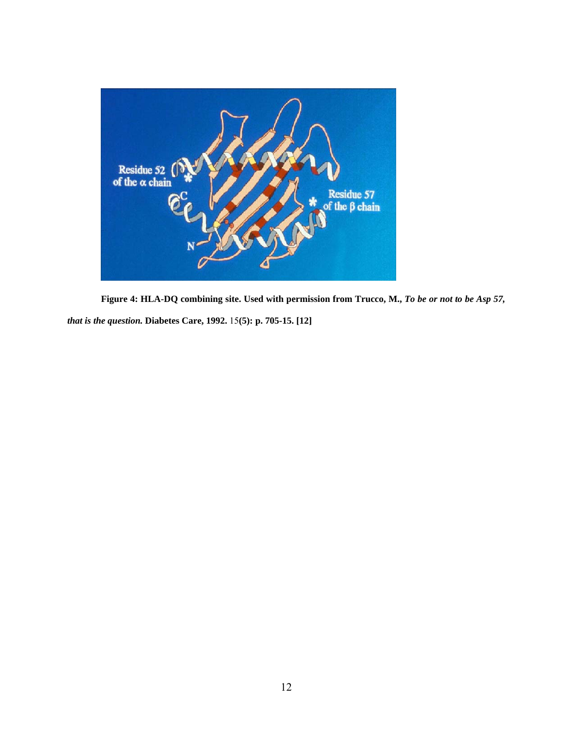<span id="page-23-0"></span>

**Figure 4: HLA-DQ combining site. Used with permission from Trucco, M.,** *To be or not to be Asp 57,* 

*that is the question.* **Diabetes Care, 1992.** 15**(5): p. 705-15. [12]**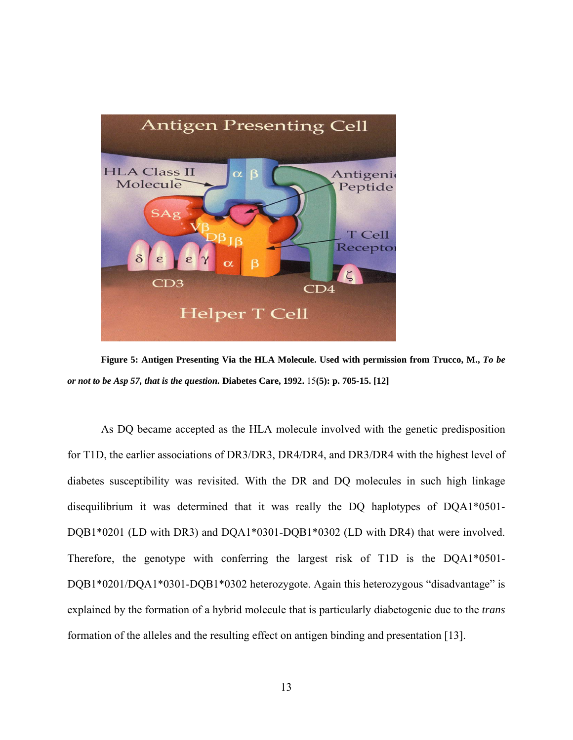<span id="page-24-0"></span>

**Figure 5: Antigen Presenting Via the HLA Molecule. Used with permission from Trucco, M.,** *To be or not to be Asp 57, that is the question.* **Diabetes Care, 1992.** 15**(5): p. 705-15. [12]** 

As DQ became accepted as the HLA molecule involved with the genetic predisposition for T1D, the earlier associations of DR3/DR3, DR4/DR4, and DR3/DR4 with the highest level of diabetes susceptibility was revisited. With the DR and DQ molecules in such high linkage disequilibrium it was determined that it was really the DQ haplotypes of DQA1\*0501- DQB1\*0201 (LD with DR3) and DQA1\*0301-DQB1\*0302 (LD with DR4) that were involved. Therefore, the genotype with conferring the largest risk of T1D is the DQA1\*0501- DQB1\*0201/DQA1\*0301-DQB1\*0302 heterozygote. Again this heterozygous "disadvantage" is explained by the formation of a hybrid molecule that is particularly diabetogenic due to the *trans* formation of the alleles and the resulting effect on antigen binding and presentation [13].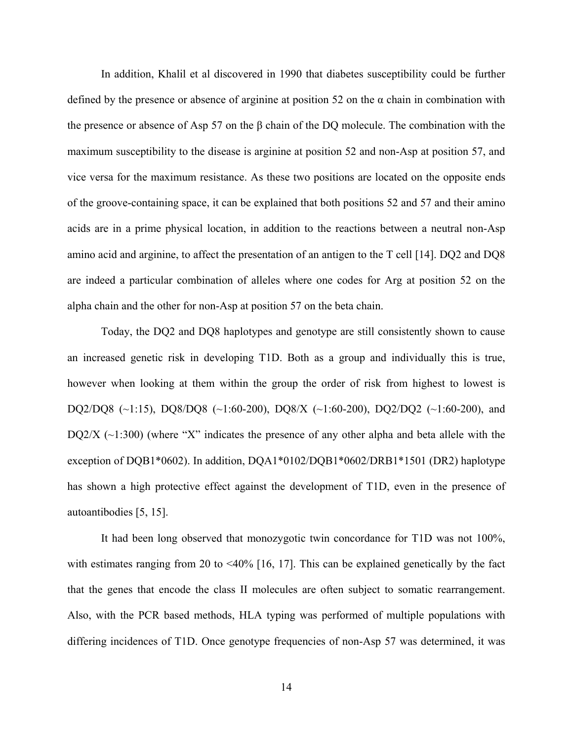In addition, Khalil et al discovered in 1990 that diabetes susceptibility could be further defined by the presence or absence of arginine at position 52 on the  $\alpha$  chain in combination with the presence or absence of Asp 57 on the β chain of the DQ molecule. The combination with the maximum susceptibility to the disease is arginine at position 52 and non-Asp at position 57, and vice versa for the maximum resistance. As these two positions are located on the opposite ends of the groove-containing space, it can be explained that both positions 52 and 57 and their amino acids are in a prime physical location, in addition to the reactions between a neutral non-Asp amino acid and arginine, to affect the presentation of an antigen to the T cell [14]. DQ2 and DQ8 are indeed a particular combination of alleles where one codes for Arg at position 52 on the alpha chain and the other for non-Asp at position 57 on the beta chain.

Today, the DQ2 and DQ8 haplotypes and genotype are still consistently shown to cause an increased genetic risk in developing T1D. Both as a group and individually this is true, however when looking at them within the group the order of risk from highest to lowest is DQ2/DQ8 (~1:15), DQ8/DQ8 (~1:60-200), DQ8/X (~1:60-200), DQ2/DQ2 (~1:60-200), and DQ2/X  $(\sim 1:300)$  (where "X" indicates the presence of any other alpha and beta allele with the exception of DQB1\*0602). In addition, DQA1\*0102/DQB1\*0602/DRB1\*1501 (DR2) haplotype has shown a high protective effect against the development of T1D, even in the presence of autoantibodies [5, 15].

It had been long observed that monozygotic twin concordance for T1D was not 100%, with estimates ranging from 20 to  $\leq 40\%$  [16, 17]. This can be explained genetically by the fact that the genes that encode the class II molecules are often subject to somatic rearrangement. Also, with the PCR based methods, HLA typing was performed of multiple populations with differing incidences of T1D. Once genotype frequencies of non-Asp 57 was determined, it was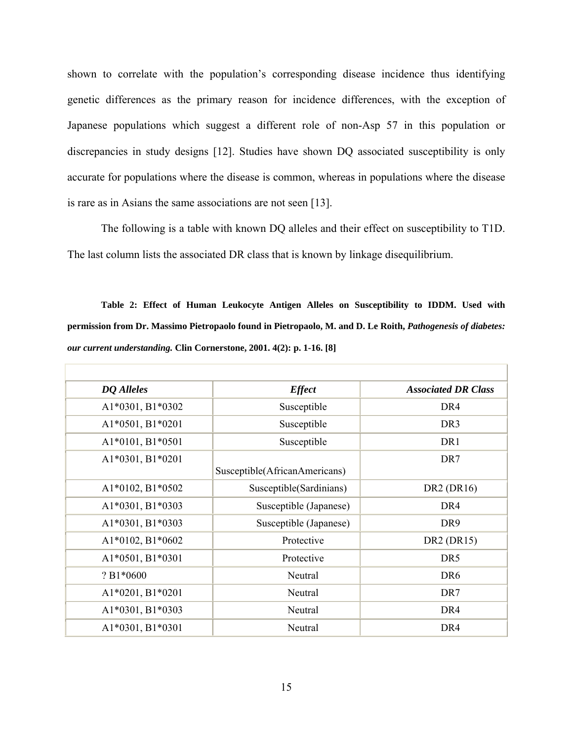<span id="page-26-0"></span>shown to correlate with the population's corresponding disease incidence thus identifying genetic differences as the primary reason for incidence differences, with the exception of Japanese populations which suggest a different role of non-Asp 57 in this population or discrepancies in study designs [12]. Studies have shown DQ associated susceptibility is only accurate for populations where the disease is common, whereas in populations where the disease is rare as in Asians the same associations are not seen [13].

The following is a table with known DQ alleles and their effect on susceptibility to T1D. The last column lists the associated DR class that is known by linkage disequilibrium.

**Table 2: Effect of Human Leukocyte Antigen Alleles on Susceptibility to IDDM. Used with permission from Dr. Massimo Pietropaolo found in Pietropaolo, M. and D. Le Roith,** *Pathogenesis of diabetes: our current understanding.* **Clin Cornerstone, 2001. 4(2): p. 1-16. [8]** 

| <b>DQ</b> Alleles  | <b>Effect</b>                 | <b>Associated DR Class</b> |  |  |
|--------------------|-------------------------------|----------------------------|--|--|
| A1*0301, B1*0302   | Susceptible                   | DR <sub>4</sub>            |  |  |
| A1*0501, B1*0201   | Susceptible                   | DR <sub>3</sub>            |  |  |
| A1*0101, B1*0501   | Susceptible                   | DR1                        |  |  |
| A1*0301, B1*0201   | Susceptible(AfricanAmericans) | DR7                        |  |  |
| A1*0102, B1*0502   | Susceptible(Sardinians)       | DR2 (DR16)                 |  |  |
| A1*0301, B1*0303   | Susceptible (Japanese)        | DR <sub>4</sub>            |  |  |
| A1*0301, B1*0303   | Susceptible (Japanese)        | DR9                        |  |  |
| A1*0102, B1*0602   | Protective                    | DR2 (DR15)                 |  |  |
| A1*0501, B1*0301   | Protective                    | DR <sub>5</sub>            |  |  |
| $? B1*0600$        | Neutral                       | DR <sub>6</sub>            |  |  |
| $A1*0201, B1*0201$ | Neutral                       | DR7                        |  |  |
| A1*0301, B1*0303   | Neutral                       | DR <sub>4</sub>            |  |  |
| A1*0301, B1*0301   | Neutral                       | DR <sub>4</sub>            |  |  |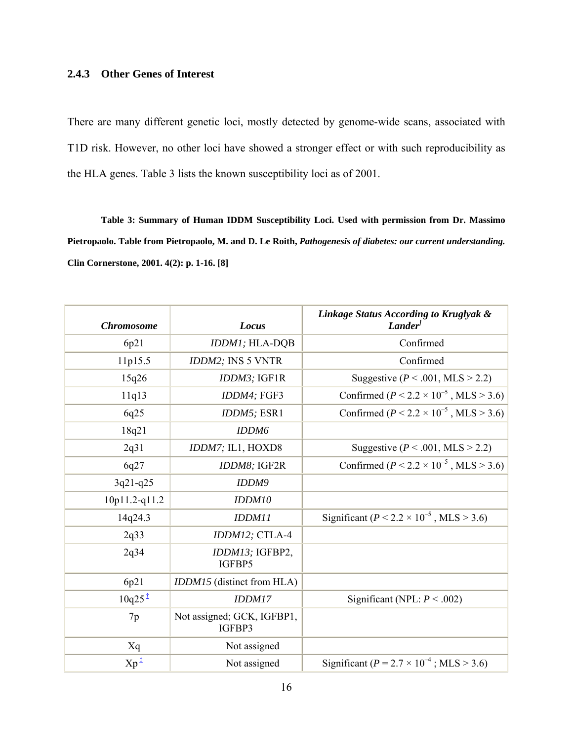# <span id="page-27-0"></span>**2.4.3 Other Genes of Interest**

There are many different genetic loci, mostly detected by genome-wide scans, associated with T1D risk. However, no other loci have showed a stronger effect or with such reproducibility as the HLA genes. Table 3 lists the known susceptibility loci as of 2001.

**Table 3: Summary of Human IDDM Susceptibility Loci. Used with permission from Dr. Massimo Pietropaolo. Table from Pietropaolo, M. and D. Le Roith,** *Pathogenesis of diabetes: our current understanding.* **Clin Cornerstone, 2001. 4(2): p. 1-16. [8]** 

| <b>Chromosome</b>  | Locus                                | Linkage Status According to Kruglyak &<br>Lander <sup>1</sup> |
|--------------------|--------------------------------------|---------------------------------------------------------------|
| 6p21               | IDDM1; HLA-DQB                       | Confirmed                                                     |
| 11p15.5            | IDDM2; INS 5 VNTR                    | Confirmed                                                     |
| 15q26              | IDDM3; IGF1R                         | Suggestive ( $P < .001$ , MLS > 2.2)                          |
| 11q13              | IDDM4; FGF3                          | Confirmed ( $P < 2.2 \times 10^{-5}$ , MLS > 3.6)             |
| 6q25               | IDDM5; ESR1                          | Confirmed ( $P < 2.2 \times 10^{-5}$ , MLS > 3.6)             |
| 18q21              | IDDM6                                |                                                               |
| 2q31               | IDDM7; IL1, HOXD8                    | Suggestive ( $P < .001$ , MLS > 2.2)                          |
| 6q27               | IDDM8; IGF2R                         | Confirmed ( $P < 2.2 \times 10^{-5}$ , MLS > 3.6)             |
| $3q21-q25$         | <b>IDDM9</b>                         |                                                               |
| 10p11.2-q11.2      | IDDM10                               |                                                               |
| 14q24.3            | IDDM11                               | Significant ( $P < 2.2 \times 10^{-5}$ , MLS > 3.6)           |
| 2q33               | IDDM12; CTLA-4                       |                                                               |
| 2q34               | IDDM13; IGFBP2,<br>IGFBP5            |                                                               |
| 6p21               | IDDM15 (distinct from HLA)           |                                                               |
| $10q25^{\ddagger}$ | IDDM17                               | Significant (NPL: $P < .002$ )                                |
| 7p                 | Not assigned; GCK, IGFBP1,<br>IGFBP3 |                                                               |
| Xq                 | Not assigned                         |                                                               |
| $Xp^{\frac{1}{2}}$ | Not assigned                         | Significant ( $P = 2.7 \times 10^{-4}$ ; MLS > 3.6)           |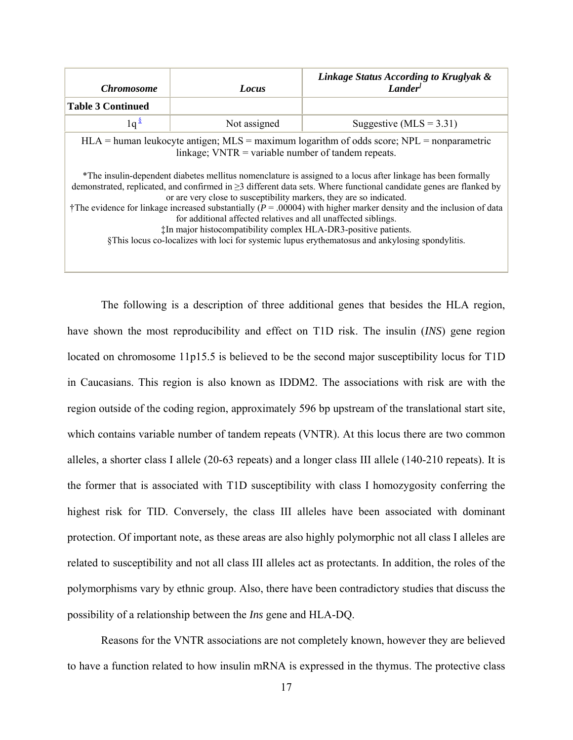| <i>Chromosome</i>                                                                                                                                                                                                                                                                                                                                                                                                                                                                                                                                                                                                                                                                                                                                                                                                                                   | Locus        | Linkage Status According to Kruglyak &<br><b>Lander</b> |  |  |
|-----------------------------------------------------------------------------------------------------------------------------------------------------------------------------------------------------------------------------------------------------------------------------------------------------------------------------------------------------------------------------------------------------------------------------------------------------------------------------------------------------------------------------------------------------------------------------------------------------------------------------------------------------------------------------------------------------------------------------------------------------------------------------------------------------------------------------------------------------|--------------|---------------------------------------------------------|--|--|
| <b>Table 3 Continued</b>                                                                                                                                                                                                                                                                                                                                                                                                                                                                                                                                                                                                                                                                                                                                                                                                                            |              |                                                         |  |  |
| $1q^{\frac{s}{2}}$                                                                                                                                                                                                                                                                                                                                                                                                                                                                                                                                                                                                                                                                                                                                                                                                                                  | Not assigned | Suggestive ( $MLS = 3.31$ )                             |  |  |
| $HLA$ = human leukocyte antigen; MLS = maximum logarithm of odds score; NPL = nonparametric<br>linkage; $VNTR = variable$ number of tandem repeats.<br>*The insulin-dependent diabetes mellitus nomenclature is assigned to a locus after linkage has been formally<br>demonstrated, replicated, and confirmed in $\geq$ 3 different data sets. Where functional candidate genes are flanked by<br>or are very close to susceptibility markers, they are so indicated.<br>†The evidence for linkage increased substantially ( $P = 0.0004$ ) with higher marker density and the inclusion of data<br>for additional affected relatives and all unaffected siblings.<br><sup>th</sup> major histocompatibility complex HLA-DR3-positive patients.<br>§This locus co-localizes with loci for systemic lupus erythematosus and ankylosing spondylitis. |              |                                                         |  |  |

The following is a description of three additional genes that besides the HLA region, have shown the most reproducibility and effect on T1D risk. The insulin (*INS*) gene region located on chromosome 11p15.5 is believed to be the second major susceptibility locus for T1D in Caucasians. This region is also known as IDDM2. The associations with risk are with the region outside of the coding region, approximately 596 bp upstream of the translational start site, which contains variable number of tandem repeats (VNTR). At this locus there are two common alleles, a shorter class I allele (20-63 repeats) and a longer class III allele (140-210 repeats). It is the former that is associated with T1D susceptibility with class I homozygosity conferring the highest risk for TID. Conversely, the class III alleles have been associated with dominant protection. Of important note, as these areas are also highly polymorphic not all class I alleles are related to susceptibility and not all class III alleles act as protectants. In addition, the roles of the polymorphisms vary by ethnic group. Also, there have been contradictory studies that discuss the possibility of a relationship between the *Ins* gene and HLA-DQ.

Reasons for the VNTR associations are not completely known, however they are believed to have a function related to how insulin mRNA is expressed in the thymus. The protective class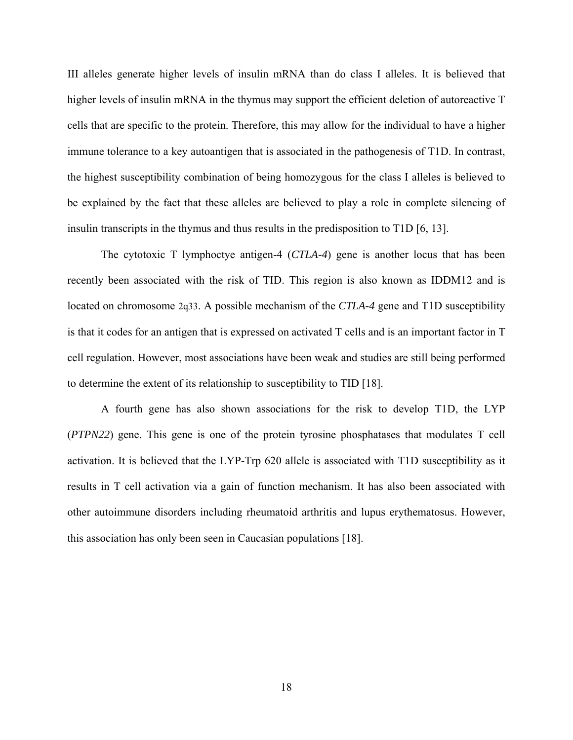III alleles generate higher levels of insulin mRNA than do class I alleles. It is believed that higher levels of insulin mRNA in the thymus may support the efficient deletion of autoreactive T cells that are specific to the protein. Therefore, this may allow for the individual to have a higher immune tolerance to a key autoantigen that is associated in the pathogenesis of T1D. In contrast, the highest susceptibility combination of being homozygous for the class I alleles is believed to be explained by the fact that these alleles are believed to play a role in complete silencing of insulin transcripts in the thymus and thus results in the predisposition to T1D [6, 13].

The cytotoxic T lymphoctye antigen-4 (*CTLA-4*) gene is another locus that has been recently been associated with the risk of TID. This region is also known as IDDM12 and is located on chromosome 2q33. A possible mechanism of the *CTLA-4* gene and T1D susceptibility is that it codes for an antigen that is expressed on activated T cells and is an important factor in T cell regulation. However, most associations have been weak and studies are still being performed to determine the extent of its relationship to susceptibility to TID [18].

A fourth gene has also shown associations for the risk to develop T1D, the LYP (*PTPN22*) gene. This gene is one of the protein tyrosine phosphatases that modulates T cell activation. It is believed that the LYP-Trp 620 allele is associated with T1D susceptibility as it results in T cell activation via a gain of function mechanism. It has also been associated with other autoimmune disorders including rheumatoid arthritis and lupus erythematosus. However, this association has only been seen in Caucasian populations [18].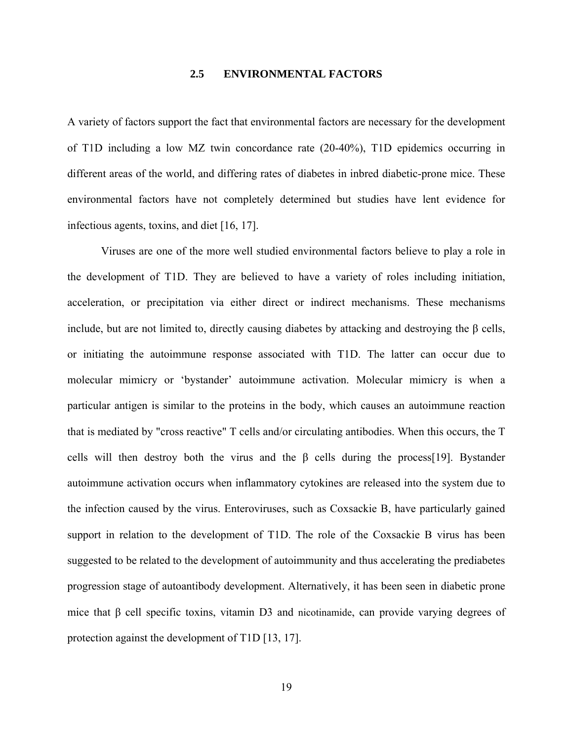### **2.5 ENVIRONMENTAL FACTORS**

<span id="page-30-0"></span>A variety of factors support the fact that environmental factors are necessary for the development of T1D including a low MZ twin concordance rate (20-40%), T1D epidemics occurring in different areas of the world, and differing rates of diabetes in inbred diabetic-prone mice. These environmental factors have not completely determined but studies have lent evidence for infectious agents, toxins, and diet [16, 17].

Viruses are one of the more well studied environmental factors believe to play a role in the development of T1D. They are believed to have a variety of roles including initiation, acceleration, or precipitation via either direct or indirect mechanisms. These mechanisms include, but are not limited to, directly causing diabetes by attacking and destroying the β cells, or initiating the autoimmune response associated with T1D. The latter can occur due to molecular mimicry or 'bystander' autoimmune activation. Molecular mimicry is when a particular antigen is similar to the proteins in the body, which causes an autoimmune reaction that is mediated by "cross reactive" T cells and/or circulating antibodies. When this occurs, the T cells will then destroy both the virus and the  $\beta$  cells during the process[19]. Bystander autoimmune activation occurs when inflammatory cytokines are released into the system due to the infection caused by the virus. Enteroviruses, such as Coxsackie B, have particularly gained support in relation to the development of T1D. The role of the Coxsackie B virus has been suggested to be related to the development of autoimmunity and thus accelerating the prediabetes progression stage of autoantibody development. Alternatively, it has been seen in diabetic prone mice that β cell specific toxins, vitamin D3 and nicotinamide, can provide varying degrees of protection against the development of T1D [13, 17].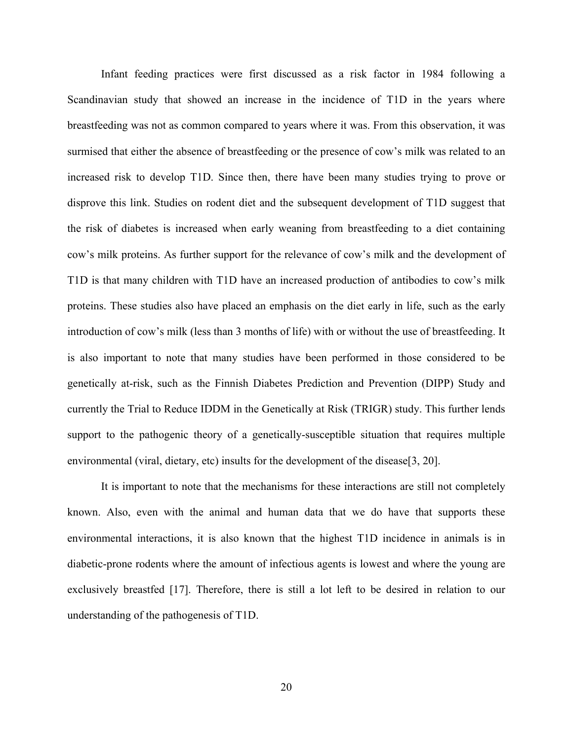Infant feeding practices were first discussed as a risk factor in 1984 following a Scandinavian study that showed an increase in the incidence of T1D in the years where breastfeeding was not as common compared to years where it was. From this observation, it was surmised that either the absence of breastfeeding or the presence of cow's milk was related to an increased risk to develop T1D. Since then, there have been many studies trying to prove or disprove this link. Studies on rodent diet and the subsequent development of T1D suggest that the risk of diabetes is increased when early weaning from breastfeeding to a diet containing cow's milk proteins. As further support for the relevance of cow's milk and the development of T1D is that many children with T1D have an increased production of antibodies to cow's milk proteins. These studies also have placed an emphasis on the diet early in life, such as the early introduction of cow's milk (less than 3 months of life) with or without the use of breastfeeding. It is also important to note that many studies have been performed in those considered to be genetically at-risk, such as the Finnish Diabetes Prediction and Prevention (DIPP) Study and currently the Trial to Reduce IDDM in the Genetically at Risk (TRIGR) study. This further lends support to the pathogenic theory of a genetically-susceptible situation that requires multiple environmental (viral, dietary, etc) insults for the development of the disease[3, 20].

It is important to note that the mechanisms for these interactions are still not completely known. Also, even with the animal and human data that we do have that supports these environmental interactions, it is also known that the highest T1D incidence in animals is in diabetic-prone rodents where the amount of infectious agents is lowest and where the young are exclusively breastfed [17]. Therefore, there is still a lot left to be desired in relation to our understanding of the pathogenesis of T1D.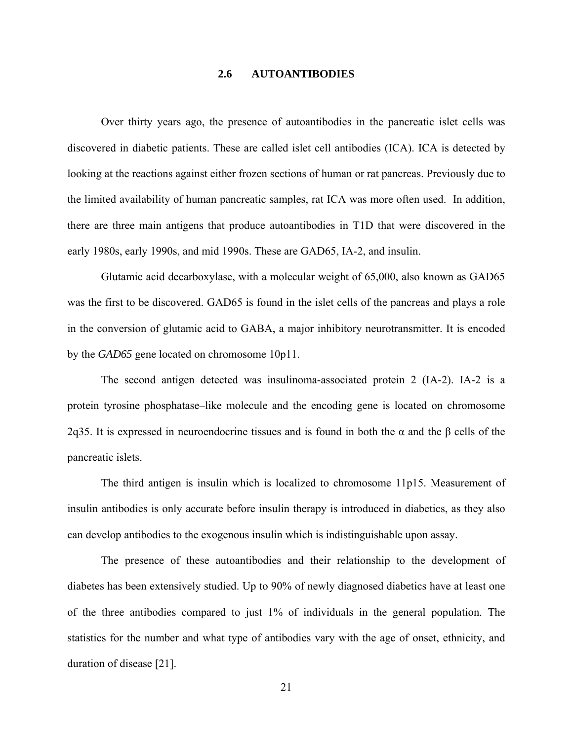### **2.6 AUTOANTIBODIES**

<span id="page-32-0"></span>Over thirty years ago, the presence of autoantibodies in the pancreatic islet cells was discovered in diabetic patients. These are called islet cell antibodies (ICA). ICA is detected by looking at the reactions against either frozen sections of human or rat pancreas. Previously due to the limited availability of human pancreatic samples, rat ICA was more often used. In addition, there are three main antigens that produce autoantibodies in T1D that were discovered in the early 1980s, early 1990s, and mid 1990s. These are GAD65, IA-2, and insulin.

Glutamic acid decarboxylase, with a molecular weight of 65,000, also known as GAD65 was the first to be discovered. GAD65 is found in the islet cells of the pancreas and plays a role in the conversion of glutamic acid to GABA, a major inhibitory neurotransmitter. It is encoded by the *GAD65* gene located on chromosome 10p11.

The second antigen detected was insulinoma-associated protein 2 (IA-2). IA-2 is a protein tyrosine phosphatase–like molecule and the encoding gene is located on chromosome 2q35. It is expressed in neuroendocrine tissues and is found in both the  $\alpha$  and the  $\beta$  cells of the pancreatic islets.

The third antigen is insulin which is localized to chromosome 11p15. Measurement of insulin antibodies is only accurate before insulin therapy is introduced in diabetics, as they also can develop antibodies to the exogenous insulin which is indistinguishable upon assay.

The presence of these autoantibodies and their relationship to the development of diabetes has been extensively studied. Up to 90% of newly diagnosed diabetics have at least one of the three antibodies compared to just 1% of individuals in the general population. The statistics for the number and what type of antibodies vary with the age of onset, ethnicity, and duration of disease [21].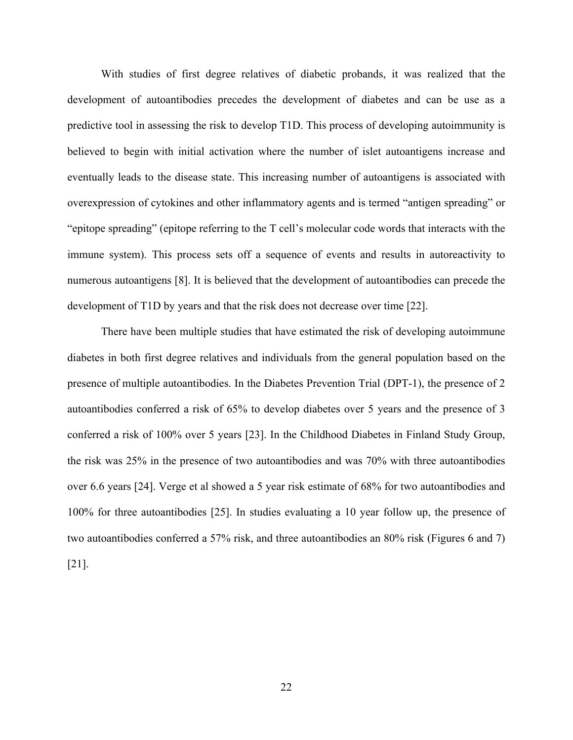With studies of first degree relatives of diabetic probands, it was realized that the development of autoantibodies precedes the development of diabetes and can be use as a predictive tool in assessing the risk to develop T1D. This process of developing autoimmunity is believed to begin with initial activation where the number of islet autoantigens increase and eventually leads to the disease state. This increasing number of autoantigens is associated with overexpression of cytokines and other inflammatory agents and is termed "antigen spreading" or "epitope spreading" (epitope referring to the T cell's molecular code words that interacts with the immune system). This process sets off a sequence of events and results in autoreactivity to numerous autoantigens [8]. It is believed that the development of autoantibodies can precede the development of T1D by years and that the risk does not decrease over time [22].

There have been multiple studies that have estimated the risk of developing autoimmune diabetes in both first degree relatives and individuals from the general population based on the presence of multiple autoantibodies. In the Diabetes Prevention Trial (DPT-1), the presence of 2 autoantibodies conferred a risk of 65% to develop diabetes over 5 years and the presence of 3 conferred a risk of 100% over 5 years [23]. In the Childhood Diabetes in Finland Study Group, the risk was 25% in the presence of two autoantibodies and was 70% with three autoantibodies over 6.6 years [24]. Verge et al showed a 5 year risk estimate of 68% for two autoantibodies and 100% for three autoantibodies [25]. In studies evaluating a 10 year follow up, the presence of two autoantibodies conferred a 57% risk, and three autoantibodies an 80% risk (Figures 6 and 7) [21].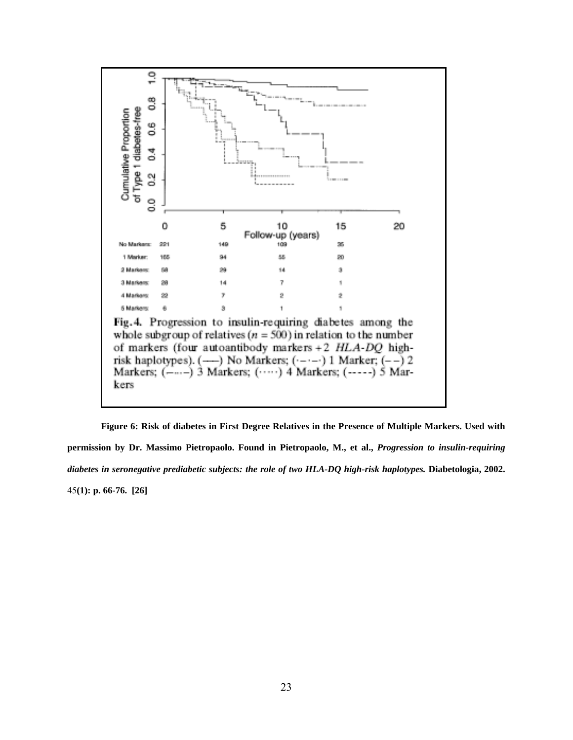<span id="page-34-0"></span>

**Figure 6: Risk of diabetes in First Degree Relatives in the Presence of Multiple Markers. Used with permission by Dr. Massimo Pietropaolo. Found in Pietropaolo, M., et al.,** *Progression to insulin-requiring diabetes in seronegative prediabetic subjects: the role of two HLA-DQ high-risk haplotypes.* **Diabetologia, 2002.**  45**(1): p. 66-76. [26]**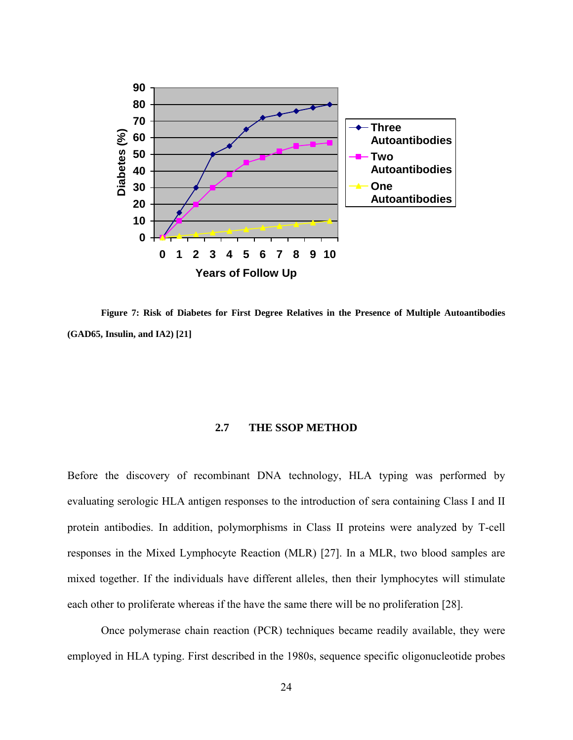<span id="page-35-0"></span>

**Figure 7: Risk of Diabetes for First Degree Relatives in the Presence of Multiple Autoantibodies (GAD65, Insulin, and IA2) [21]** 

#### **2.7 THE SSOP METHOD**

Before the discovery of recombinant DNA technology, HLA typing was performed by evaluating serologic HLA antigen responses to the introduction of sera containing Class I and II protein antibodies. In addition, polymorphisms in Class II proteins were analyzed by T-cell responses in the Mixed Lymphocyte Reaction (MLR) [27]. In a MLR, two blood samples are mixed together. If the individuals have different alleles, then their lymphocytes will stimulate each other to proliferate whereas if the have the same there will be no proliferation [28].

Once polymerase chain reaction (PCR) techniques became readily available, they were employed in HLA typing. First described in the 1980s, sequence specific oligonucleotide probes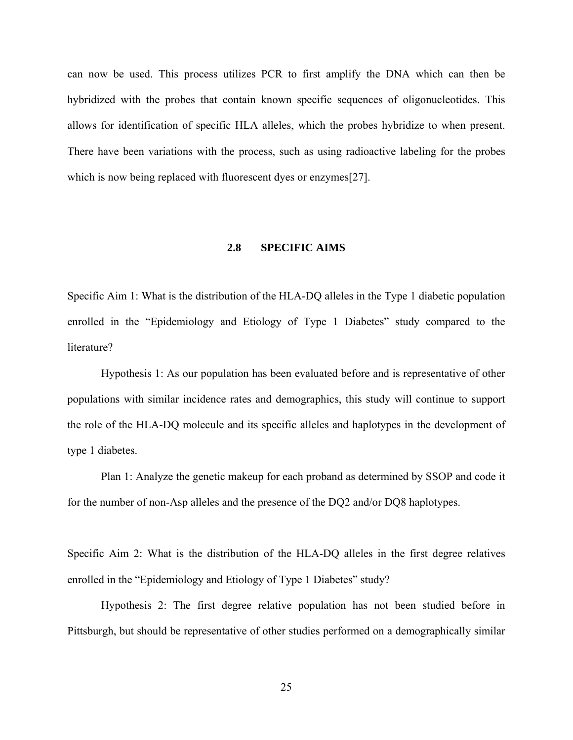can now be used. This process utilizes PCR to first amplify the DNA which can then be hybridized with the probes that contain known specific sequences of oligonucleotides. This allows for identification of specific HLA alleles, which the probes hybridize to when present. There have been variations with the process, such as using radioactive labeling for the probes which is now being replaced with fluorescent dyes or enzymes[27].

# **2.8 SPECIFIC AIMS**

Specific Aim 1: What is the distribution of the HLA-DQ alleles in the Type 1 diabetic population enrolled in the "Epidemiology and Etiology of Type 1 Diabetes" study compared to the literature?

Hypothesis 1: As our population has been evaluated before and is representative of other populations with similar incidence rates and demographics, this study will continue to support the role of the HLA-DQ molecule and its specific alleles and haplotypes in the development of type 1 diabetes.

Plan 1: Analyze the genetic makeup for each proband as determined by SSOP and code it for the number of non-Asp alleles and the presence of the DQ2 and/or DQ8 haplotypes.

Specific Aim 2: What is the distribution of the HLA-DQ alleles in the first degree relatives enrolled in the "Epidemiology and Etiology of Type 1 Diabetes" study?

Hypothesis 2: The first degree relative population has not been studied before in Pittsburgh, but should be representative of other studies performed on a demographically similar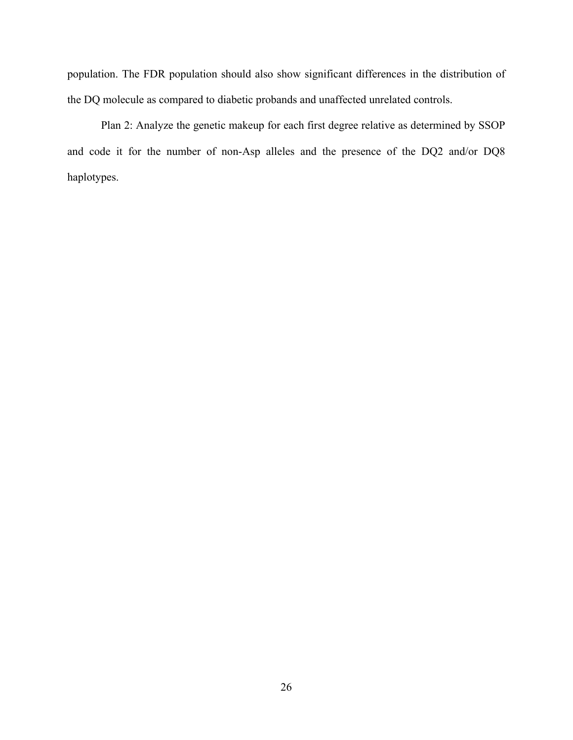population. The FDR population should also show significant differences in the distribution of the DQ molecule as compared to diabetic probands and unaffected unrelated controls.

Plan 2: Analyze the genetic makeup for each first degree relative as determined by SSOP and code it for the number of non-Asp alleles and the presence of the DQ2 and/or DQ8 haplotypes.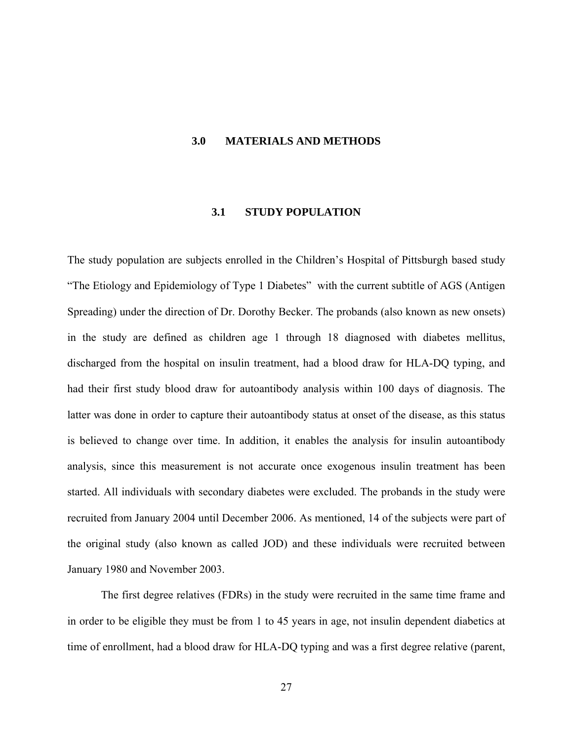### **3.0 MATERIALS AND METHODS**

### **3.1 STUDY POPULATION**

The study population are subjects enrolled in the Children's Hospital of Pittsburgh based study "The Etiology and Epidemiology of Type 1 Diabetes" with the current subtitle of AGS (Antigen Spreading) under the direction of Dr. Dorothy Becker. The probands (also known as new onsets) in the study are defined as children age 1 through 18 diagnosed with diabetes mellitus, discharged from the hospital on insulin treatment, had a blood draw for HLA-DQ typing, and had their first study blood draw for autoantibody analysis within 100 days of diagnosis. The latter was done in order to capture their autoantibody status at onset of the disease, as this status is believed to change over time. In addition, it enables the analysis for insulin autoantibody analysis, since this measurement is not accurate once exogenous insulin treatment has been started. All individuals with secondary diabetes were excluded. The probands in the study were recruited from January 2004 until December 2006. As mentioned, 14 of the subjects were part of the original study (also known as called JOD) and these individuals were recruited between January 1980 and November 2003.

The first degree relatives (FDRs) in the study were recruited in the same time frame and in order to be eligible they must be from 1 to 45 years in age, not insulin dependent diabetics at time of enrollment, had a blood draw for HLA-DQ typing and was a first degree relative (parent,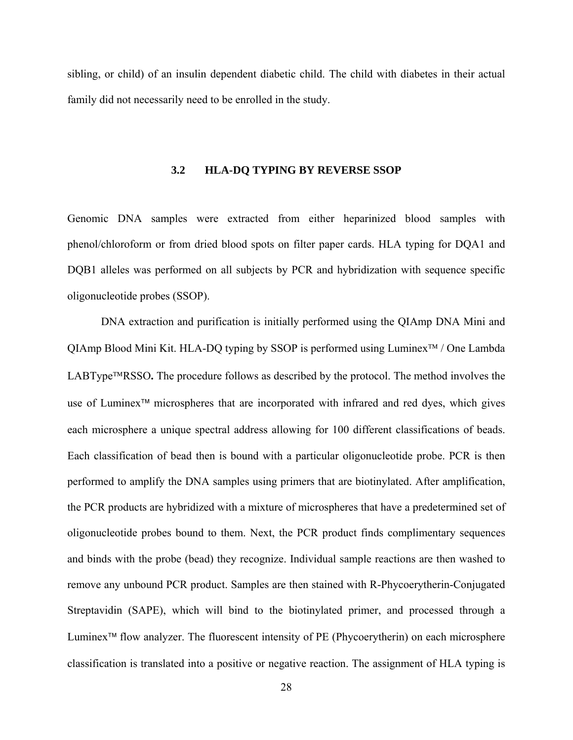sibling, or child) of an insulin dependent diabetic child. The child with diabetes in their actual family did not necessarily need to be enrolled in the study.

### **3.2 HLA-DQ TYPING BY REVERSE SSOP**

Genomic DNA samples were extracted from either heparinized blood samples with phenol/chloroform or from dried blood spots on filter paper cards. HLA typing for DQA1 and DQB1 alleles was performed on all subjects by PCR and hybridization with sequence specific oligonucleotide probes (SSOP).

DNA extraction and purification is initially performed using the QIAmp DNA Mini and QIAmp Blood Mini Kit. HLA-DQ typing by SSOP is performed using Luminex™ / One Lambda LABType™RSSO**.** The procedure follows as described by the protocol. The method involves the use of Luminex™ microspheres that are incorporated with infrared and red dyes, which gives each microsphere a unique spectral address allowing for 100 different classifications of beads. Each classification of bead then is bound with a particular oligonucleotide probe. PCR is then performed to amplify the DNA samples using primers that are biotinylated. After amplification, the PCR products are hybridized with a mixture of microspheres that have a predetermined set of oligonucleotide probes bound to them. Next, the PCR product finds complimentary sequences and binds with the probe (bead) they recognize. Individual sample reactions are then washed to remove any unbound PCR product. Samples are then stained with R-Phycoerytherin-Conjugated Streptavidin (SAPE), which will bind to the biotinylated primer, and processed through a Luminex™ flow analyzer. The fluorescent intensity of PE (Phycoerytherin) on each microsphere classification is translated into a positive or negative reaction. The assignment of HLA typing is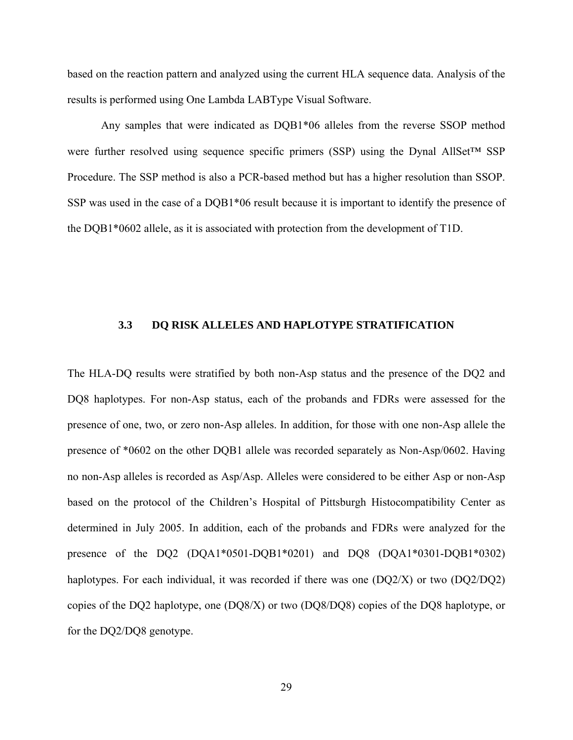based on the reaction pattern and analyzed using the current HLA sequence data. Analysis of the results is performed using One Lambda LABType Visual Software.

Any samples that were indicated as DQB1\*06 alleles from the reverse SSOP method were further resolved using sequence specific primers (SSP) using the Dynal AllSet™ SSP Procedure. The SSP method is also a PCR-based method but has a higher resolution than SSOP. SSP was used in the case of a DQB1\*06 result because it is important to identify the presence of the DQB1\*0602 allele, as it is associated with protection from the development of T1D.

## **3.3 DQ RISK ALLELES AND HAPLOTYPE STRATIFICATION**

The HLA-DQ results were stratified by both non-Asp status and the presence of the DQ2 and DQ8 haplotypes. For non-Asp status, each of the probands and FDRs were assessed for the presence of one, two, or zero non-Asp alleles. In addition, for those with one non-Asp allele the presence of \*0602 on the other DQB1 allele was recorded separately as Non-Asp/0602. Having no non-Asp alleles is recorded as Asp/Asp. Alleles were considered to be either Asp or non-Asp based on the protocol of the Children's Hospital of Pittsburgh Histocompatibility Center as determined in July 2005. In addition, each of the probands and FDRs were analyzed for the presence of the DQ2 (DQA1\*0501-DQB1\*0201) and DQ8 (DQA1\*0301-DQB1\*0302) haplotypes. For each individual, it was recorded if there was one (DQ2/X) or two (DQ2/DQ2) copies of the DQ2 haplotype, one (DQ8/X) or two (DQ8/DQ8) copies of the DQ8 haplotype, or for the DQ2/DQ8 genotype.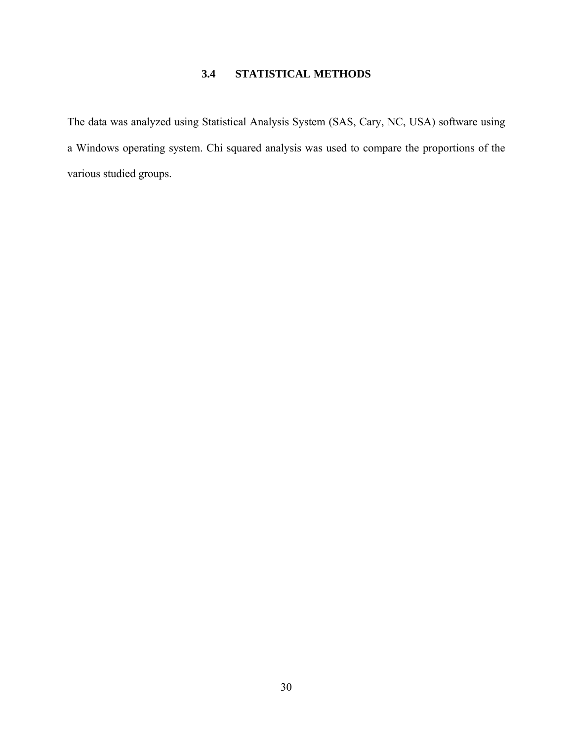# **3.4 STATISTICAL METHODS**

The data was analyzed using Statistical Analysis System (SAS, Cary, NC, USA) software using a Windows operating system. Chi squared analysis was used to compare the proportions of the various studied groups.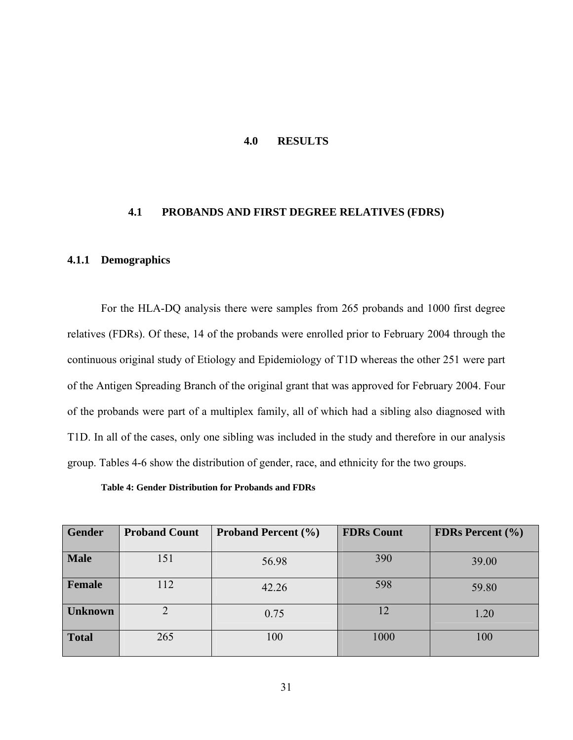### **4.0 RESULTS**

# **4.1 PROBANDS AND FIRST DEGREE RELATIVES (FDRS)**

### **4.1.1 Demographics**

For the HLA-DQ analysis there were samples from 265 probands and 1000 first degree relatives (FDRs). Of these, 14 of the probands were enrolled prior to February 2004 through the continuous original study of Etiology and Epidemiology of T1D whereas the other 251 were part of the Antigen Spreading Branch of the original grant that was approved for February 2004. Four of the probands were part of a multiplex family, all of which had a sibling also diagnosed with T1D. In all of the cases, only one sibling was included in the study and therefore in our analysis group. Tables 4-6 show the distribution of gender, race, and ethnicity for the two groups.

**Table 4: Gender Distribution for Probands and FDRs** 

| <b>Gender</b>  | <b>Proband Count</b> | <b>Proband Percent (%)</b> | <b>FDRs Count</b> | <b>FDRs Percent</b> (%) |
|----------------|----------------------|----------------------------|-------------------|-------------------------|
| <b>Male</b>    | 151                  | 56.98                      | 390               | 39.00                   |
| Female         | 112                  | 42.26                      | 598               | 59.80                   |
| <b>Unknown</b> |                      | 0.75                       | 12                | 1.20                    |
| <b>Total</b>   | 265                  | 100                        | 1000              | 100                     |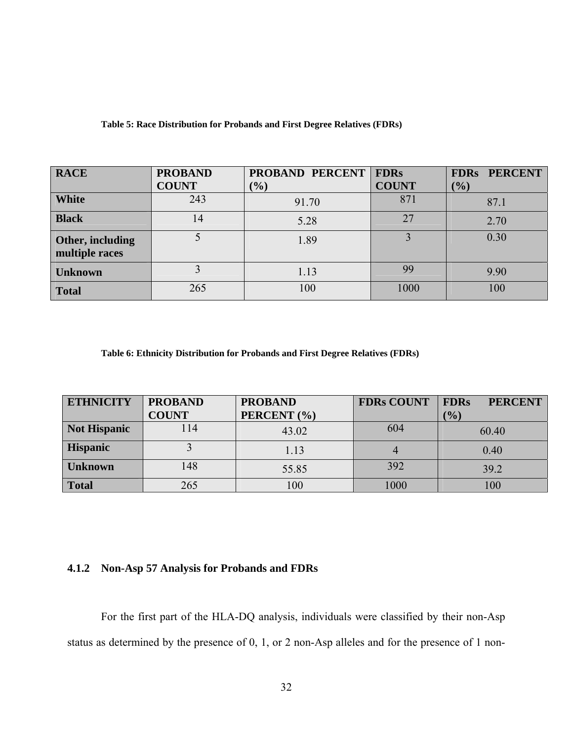| <b>RACE</b>                        | <b>PROBAND</b> | PROBAND PERCENT | <b>FDRs</b>  | <b>FDRs PERCENT</b> |
|------------------------------------|----------------|-----------------|--------------|---------------------|
|                                    | <b>COUNT</b>   | $\frac{1}{2}$   | <b>COUNT</b> | $(\%)$              |
| <b>White</b>                       | 243            | 91.70           | 871          | 87.1                |
| <b>Black</b>                       | 14             | 5.28            | 27           | 2.70                |
| Other, including<br>multiple races |                | 1.89            |              | 0.30                |
| <b>Unknown</b>                     |                | 1.13            | 99           | 9.90                |
| <b>Total</b>                       | 265            | 100             | 1000         | 100                 |

**Table 5: Race Distribution for Probands and First Degree Relatives (FDRs)** 

**Table 6: Ethnicity Distribution for Probands and First Degree Relatives (FDRs)** 

| <b>ETHNICITY</b>    | <b>PROBAND</b> | <b>PROBAND</b> | <b>FDRs COUNT</b> | <b>FDRs</b><br><b>PERCENT</b> |
|---------------------|----------------|----------------|-------------------|-------------------------------|
|                     | <b>COUNT</b>   | PERCENT (%)    |                   | $(\%)$                        |
| <b>Not Hispanic</b> | 14             | 43.02          | 604               | 60.40                         |
| <b>Hispanic</b>     |                | 1.13           |                   | 0.40                          |
| <b>Unknown</b>      | 148            | 55.85          | 392               | 39.2                          |
| <b>Total</b>        | 265            | 100            | 1000              | $100\,$                       |

# **4.1.2 Non-Asp 57 Analysis for Probands and FDRs**

For the first part of the HLA-DQ analysis, individuals were classified by their non-Asp status as determined by the presence of 0, 1, or 2 non-Asp alleles and for the presence of 1 non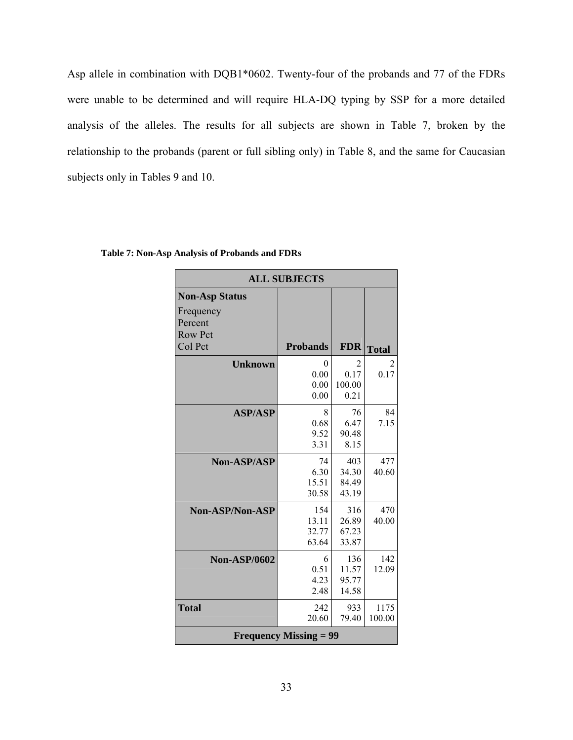Asp allele in combination with DQB1\*0602. Twenty-four of the probands and 77 of the FDRs were unable to be determined and will require HLA-DQ typing by SSP for a more detailed analysis of the alleles. The results for all subjects are shown in Table 7, broken by the relationship to the probands (parent or full sibling only) in Table 8, and the same for Caucasian subjects only in Tables 9 and 10.

|                               | <b>ALL SUBJECTS</b> |            |              |  |  |  |
|-------------------------------|---------------------|------------|--------------|--|--|--|
| <b>Non-Asp Status</b>         |                     |            |              |  |  |  |
| Frequency<br>Percent          |                     |            |              |  |  |  |
| <b>Row Pct</b>                |                     |            |              |  |  |  |
| Col Pct                       | <b>Probands</b>     | <b>FDR</b> | <b>Total</b> |  |  |  |
| <b>Unknown</b>                | 0                   | 2          |              |  |  |  |
|                               | 0.00                | 0.17       | 0.17         |  |  |  |
|                               | 0.00                | 100.00     |              |  |  |  |
|                               | 0.00                | 0.21       |              |  |  |  |
| <b>ASP/ASP</b>                | 8                   | 76         | 84           |  |  |  |
|                               | 0.68                | 6.47       | 7.15         |  |  |  |
|                               | 9.52                | 90.48      |              |  |  |  |
|                               | 3.31                | 8.15       |              |  |  |  |
| <b>Non-ASP/ASP</b>            | 74                  | 403        | 477          |  |  |  |
|                               | 6.30                | 34.30      | 40.60        |  |  |  |
|                               | 15.51               | 84.49      |              |  |  |  |
|                               | 30.58               | 43.19      |              |  |  |  |
| Non-ASP/Non-ASP               | 154                 | 316        | 470          |  |  |  |
|                               | 13.11               | 26.89      | 40.00        |  |  |  |
|                               | 32.77               | 67.23      |              |  |  |  |
|                               | 63.64               | 33.87      |              |  |  |  |
| <b>Non-ASP/0602</b>           | 6                   | 136        | 142          |  |  |  |
|                               | 0.51                | 11.57      | 12.09        |  |  |  |
|                               | 4.23                | 95.77      |              |  |  |  |
|                               | 2.48                | 14.58      |              |  |  |  |
| <b>Total</b>                  | 242                 | 933        | 1175         |  |  |  |
|                               | 20.60               | 79.40      | 100.00       |  |  |  |
| <b>Frequency Missing = 99</b> |                     |            |              |  |  |  |

**Table 7: Non-Asp Analysis of Probands and FDRs**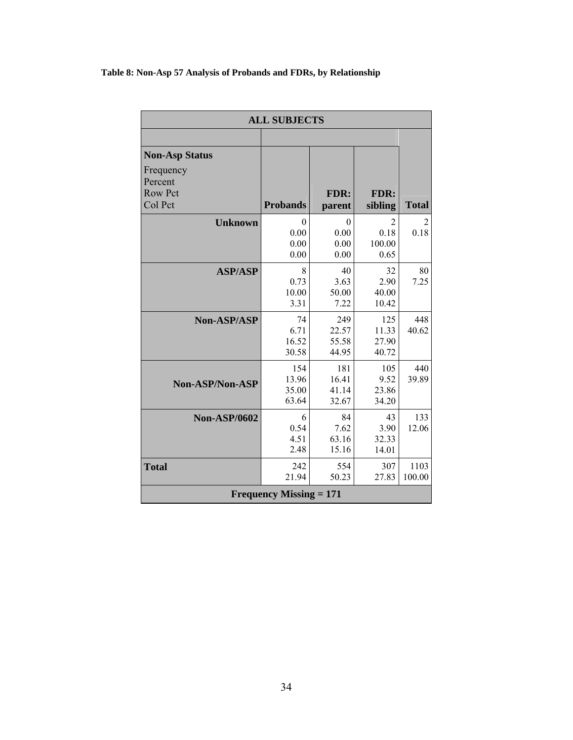# **Table 8: Non-Asp 57 Analysis of Probands and FDRs, by Relationship**

|                        | <b>ALL SUBJECTS</b>            |        |         |              |  |  |
|------------------------|--------------------------------|--------|---------|--------------|--|--|
|                        |                                |        |         |              |  |  |
| <b>Non-Asp Status</b>  |                                |        |         |              |  |  |
| Frequency              |                                |        |         |              |  |  |
| Percent                |                                |        |         |              |  |  |
| <b>Row Pct</b>         |                                | FDR:   | FDR:    |              |  |  |
| Col Pct                | <b>Probands</b>                | parent | sibling | <b>Total</b> |  |  |
| <b>Unknown</b>         | 0                              | 0      | 2       | 2            |  |  |
|                        | 0.00                           | 0.00   | 0.18    | 0.18         |  |  |
|                        | 0.00                           | 0.00   | 100.00  |              |  |  |
|                        | 0.00                           | 0.00   | 0.65    |              |  |  |
| <b>ASP/ASP</b>         | 8                              | 40     | 32      | 80           |  |  |
|                        | 0.73                           | 3.63   | 2.90    | 7.25         |  |  |
|                        | 10.00                          | 50.00  | 40.00   |              |  |  |
|                        | 3.31                           | 7.22   | 10.42   |              |  |  |
| <b>Non-ASP/ASP</b>     | 74                             | 249    | 125     | 448          |  |  |
|                        | 6.71                           | 22.57  | 11.33   | 40.62        |  |  |
|                        | 16.52                          | 55.58  | 27.90   |              |  |  |
|                        | 30.58                          | 44.95  | 40.72   |              |  |  |
|                        | 154                            | 181    | 105     | 440          |  |  |
| <b>Non-ASP/Non-ASP</b> | 13.96                          | 16.41  | 9.52    | 39.89        |  |  |
|                        | 35.00                          | 41.14  | 23.86   |              |  |  |
|                        | 63.64                          | 32.67  | 34.20   |              |  |  |
| <b>Non-ASP/0602</b>    | 6                              | 84     | 43      | 133          |  |  |
|                        | 0.54                           | 7.62   | 3.90    | 12.06        |  |  |
|                        | 4.51                           | 63.16  | 32.33   |              |  |  |
|                        | 2.48                           | 15.16  | 14.01   |              |  |  |
| <b>Total</b>           | 242                            | 554    | 307     | 1103         |  |  |
|                        | 21.94                          | 50.23  | 27.83   | 100.00       |  |  |
|                        | <b>Frequency Missing = 171</b> |        |         |              |  |  |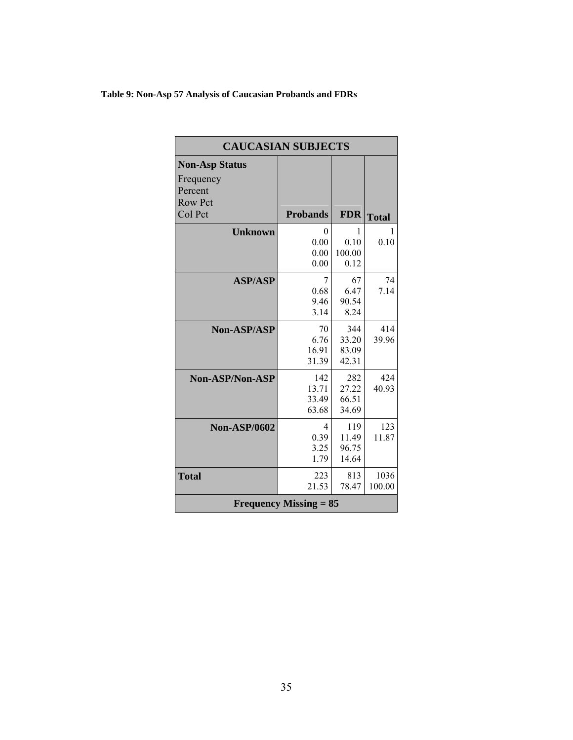# **Table 9: Non-Asp 57 Analysis of Caucasian Probands and FDRs**

| <b>CAUCASIAN SUBJECTS</b>     |                 |            |              |  |  |
|-------------------------------|-----------------|------------|--------------|--|--|
| <b>Non-Asp Status</b>         |                 |            |              |  |  |
| Frequency                     |                 |            |              |  |  |
| Percent                       |                 |            |              |  |  |
| <b>Row Pct</b>                |                 |            |              |  |  |
| Col Pct                       | <b>Probands</b> | <b>FDR</b> | <b>Total</b> |  |  |
| <b>Unknown</b>                | 0               | I          | L            |  |  |
|                               | 0.00            | 0.10       | 0.10         |  |  |
|                               | 0.00            | 100.00     |              |  |  |
|                               | 0.00            | 0.12       |              |  |  |
| <b>ASP/ASP</b>                | 7               | 67         | 74           |  |  |
|                               | 0.68            | 6.47       | 7.14         |  |  |
|                               | 9.46            | 90.54      |              |  |  |
|                               | 3.14            | 8.24       |              |  |  |
| <b>Non-ASP/ASP</b>            | 70              | 344        | 414          |  |  |
|                               | 6.76            | 33.20      | 39.96        |  |  |
|                               | 16.91           | 83.09      |              |  |  |
|                               | 31.39           | 42.31      |              |  |  |
| Non-ASP/Non-ASP               | 142             | 282        | 424          |  |  |
|                               | 13.71           | 27.22      | 40.93        |  |  |
|                               | 33.49           | 66.51      |              |  |  |
|                               | 63.68           | 34.69      |              |  |  |
| <b>Non-ASP/0602</b>           | $\overline{4}$  | 119        | 123          |  |  |
|                               | 0.39            | 11.49      | 11.87        |  |  |
|                               | 3.25            | 96.75      |              |  |  |
|                               | 1.79            | 14.64      |              |  |  |
| <b>Total</b>                  | 223             | 813        | 1036         |  |  |
|                               | 21.53           | 78.47      | 100.00       |  |  |
| <b>Frequency Missing = 85</b> |                 |            |              |  |  |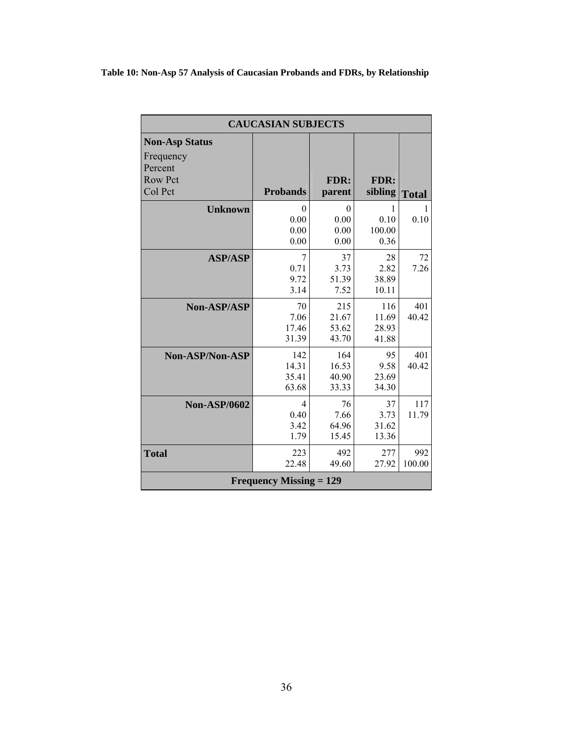# **Table 10: Non-Asp 57 Analysis of Caucasian Probands and FDRs, by Relationship**

| <b>Non-Asp Status</b><br>Frequency |                                |          |         |              |
|------------------------------------|--------------------------------|----------|---------|--------------|
|                                    |                                |          |         |              |
|                                    |                                |          |         |              |
| Percent                            |                                |          |         |              |
| <b>Row Pct</b>                     |                                | FDR:     | FDR:    |              |
| Col Pct                            | <b>Probands</b>                | parent   | sibling | <b>Total</b> |
| <b>Unknown</b>                     | $\theta$                       | $\theta$ | 1       | 1            |
|                                    | 0.00                           | 0.00     | 0.10    | 0.10         |
|                                    | 0.00                           | 0.00     | 100.00  |              |
|                                    | 0.00                           | 0.00     | 0.36    |              |
| <b>ASP/ASP</b>                     | 7                              | 37       | 28      | 72           |
|                                    | 0.71                           | 3.73     | 2.82    | 7.26         |
|                                    | 9.72                           | 51.39    | 38.89   |              |
|                                    | 3.14                           | 7.52     | 10.11   |              |
| <b>Non-ASP/ASP</b>                 | 70                             | 215      | 116     | 401          |
|                                    | 7.06                           | 21.67    | 11.69   | 40.42        |
|                                    | 17.46                          | 53.62    | 28.93   |              |
|                                    | 31.39                          | 43.70    | 41.88   |              |
| Non-ASP/Non-ASP                    | 142                            | 164      | 95      | 401          |
|                                    | 14.31                          | 16.53    | 9.58    | 40.42        |
|                                    | 35.41                          | 40.90    | 23.69   |              |
|                                    | 63.68                          | 33.33    | 34.30   |              |
| <b>Non-ASP/0602</b>                | $\overline{4}$                 | 76       | 37      | 117          |
|                                    | 0.40                           | 7.66     | 3.73    | 11.79        |
|                                    | 3.42                           | 64.96    | 31.62   |              |
|                                    | 1.79                           | 15.45    | 13.36   |              |
| <b>Total</b>                       | 223                            | 492      | 277     | 992          |
|                                    | 22.48                          | 49.60    | 27.92   | 100.00       |
|                                    | <b>Frequency Missing = 129</b> |          |         |              |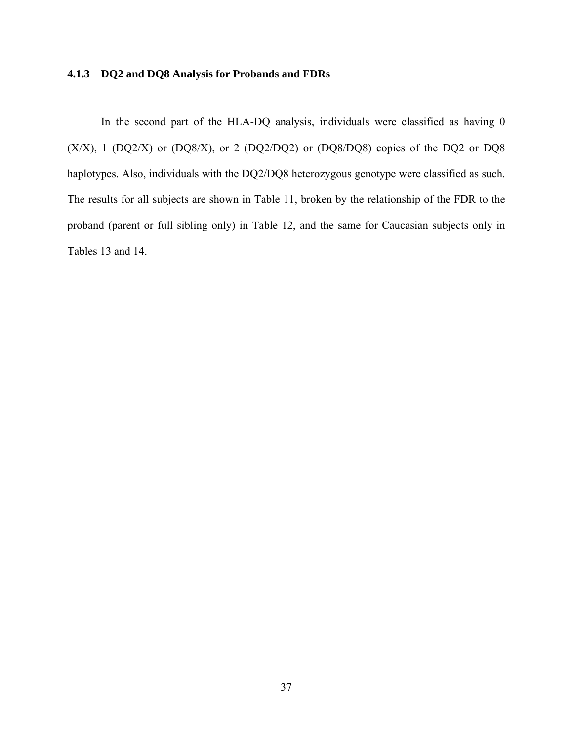# **4.1.3 DQ2 and DQ8 Analysis for Probands and FDRs**

In the second part of the HLA-DQ analysis, individuals were classified as having 0  $(X/X)$ , 1  $(DQ2/X)$  or  $(DQ8/X)$ , or 2  $(DQ2/DQ2)$  or  $(DQ8/DQ8)$  copies of the DQ2 or DQ8 haplotypes. Also, individuals with the DQ2/DQ8 heterozygous genotype were classified as such. The results for all subjects are shown in Table 11, broken by the relationship of the FDR to the proband (parent or full sibling only) in Table 12, and the same for Caucasian subjects only in Tables 13 and 14.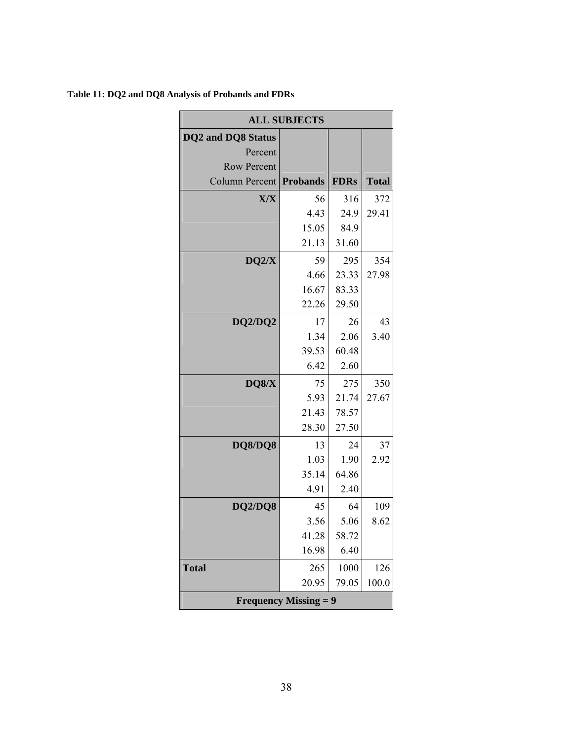| <b>ALL SUBJECTS</b>            |       |             |              |  |  |
|--------------------------------|-------|-------------|--------------|--|--|
| <b>DQ2</b> and DQ8 Status      |       |             |              |  |  |
| Percent                        |       |             |              |  |  |
| <b>Row Percent</b>             |       |             |              |  |  |
| Column Percent <b>Probands</b> |       | <b>FDRs</b> | <b>Total</b> |  |  |
| X/X                            | 56    | 316         | 372          |  |  |
|                                | 4.43  | 24.9        | 29.41        |  |  |
|                                | 15.05 | 84.9        |              |  |  |
|                                | 21.13 | 31.60       |              |  |  |
| DQ2/X                          | 59    | 295         | 354          |  |  |
|                                | 4.66  | 23.33       | 27.98        |  |  |
|                                | 16.67 | 83.33       |              |  |  |
|                                | 22.26 | 29.50       |              |  |  |
| DQ2/DQ2                        | 17    | 26          | 43           |  |  |
|                                | 1.34  | 2.06        | 3.40         |  |  |
|                                | 39.53 | 60.48       |              |  |  |
|                                | 6.42  | 2.60        |              |  |  |
| DQ8/X                          | 75    | 275         | 350          |  |  |
|                                | 5.93  | 21.74       | 27.67        |  |  |
|                                | 21.43 | 78.57       |              |  |  |
|                                | 28.30 | 27.50       |              |  |  |
| DQ8/DQ8                        | 13    | 24          | 37           |  |  |
|                                | 1.03  | 1.90        | 2.92         |  |  |
|                                | 35.14 | 64.86       |              |  |  |
|                                | 4.91  | 2.40        |              |  |  |
| DQ2/DQ8                        | 45    | 64          | 109          |  |  |
|                                | 3.56  | 5.06        | 8.62         |  |  |
|                                | 41.28 | 58.72       |              |  |  |
|                                | 16.98 | 6.40        |              |  |  |
| <b>Total</b>                   | 265   | 1000        | 126          |  |  |
|                                | 20.95 | 79.05       | 100.0        |  |  |
| <b>Frequency Missing = 9</b>   |       |             |              |  |  |

# **Table 11: DQ2 and DQ8 Analysis of Probands and FDRs**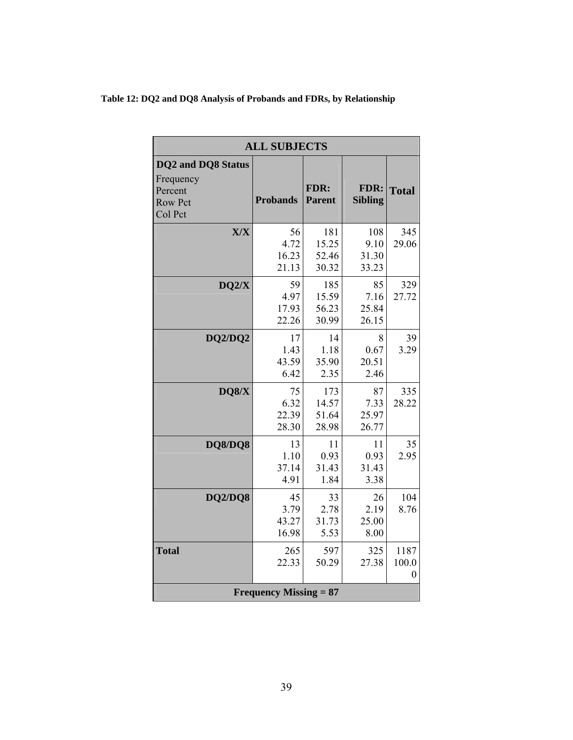|                    | <b>ALL SUBJECTS</b> |  |  |
|--------------------|---------------------|--|--|
| DQ2 and DQ8 Status |                     |  |  |

**Table 12: DQ2 and DQ8 Analysis of Probands and FDRs, by Relationship** 

| <b>DQ2</b> and DQ8 Status<br>Frequency<br>Percent<br><b>Row Pct</b><br>Col Pct | <b>Probands</b> | FDR:<br><b>Parent</b> | FDR:<br><b>Sibling</b> | <b>Total</b>     |  |  |  |
|--------------------------------------------------------------------------------|-----------------|-----------------------|------------------------|------------------|--|--|--|
| X/X                                                                            | 56              | 181                   | 108                    | 345              |  |  |  |
|                                                                                | 4.72            | 15.25                 | 9.10                   | 29.06            |  |  |  |
|                                                                                | 16.23<br>21.13  | 52.46<br>30.32        | 31.30<br>33.23         |                  |  |  |  |
| DQ2/X                                                                          | 59              | 185                   | 85                     | 329              |  |  |  |
|                                                                                | 4.97            | 15.59                 | 7.16                   | 27.72            |  |  |  |
|                                                                                | 17.93           | 56.23                 | 25.84                  |                  |  |  |  |
|                                                                                | 22.26           | 30.99                 | 26.15                  |                  |  |  |  |
| DQ2/DQ2                                                                        | 17              | 14                    | 8                      | 39               |  |  |  |
|                                                                                | 1.43            | 1.18                  | 0.67                   | 3.29             |  |  |  |
|                                                                                | 43.59           | 35.90                 | 20.51                  |                  |  |  |  |
|                                                                                | 6.42            | 2.35                  | 2.46                   |                  |  |  |  |
| DQS/X                                                                          | 75              | 173                   | 87                     | 335              |  |  |  |
|                                                                                | 6.32            | 14.57                 | 7.33                   | 28.22            |  |  |  |
|                                                                                | 22.39           | 51.64                 | 25.97                  |                  |  |  |  |
|                                                                                | 28.30           | 28.98                 | 26.77                  |                  |  |  |  |
| <b>DQ8/DQ8</b>                                                                 | 13              | 11                    | 11                     | 35               |  |  |  |
|                                                                                | 1.10            | 0.93                  | 0.93                   | 2.95             |  |  |  |
|                                                                                | 37.14           | 31.43                 | 31.43                  |                  |  |  |  |
|                                                                                | 4.91            | 1.84                  | 3.38                   |                  |  |  |  |
| <b>DQ2/DQ8</b>                                                                 | 45              | 33                    | 26                     | 104              |  |  |  |
|                                                                                | 3.79            | 2.78                  | 2.19                   | 8.76             |  |  |  |
|                                                                                | 43.27           | 31.73                 | 25.00                  |                  |  |  |  |
|                                                                                | 16.98           | 5.53                  | 8.00                   |                  |  |  |  |
| <b>Total</b>                                                                   | 265             | 597                   | 325                    | 1187             |  |  |  |
|                                                                                | 22.33           | 50.29                 | 27.38                  | 100.0            |  |  |  |
|                                                                                |                 |                       |                        | $\boldsymbol{0}$ |  |  |  |
| <b>Frequency Missing = 87</b>                                                  |                 |                       |                        |                  |  |  |  |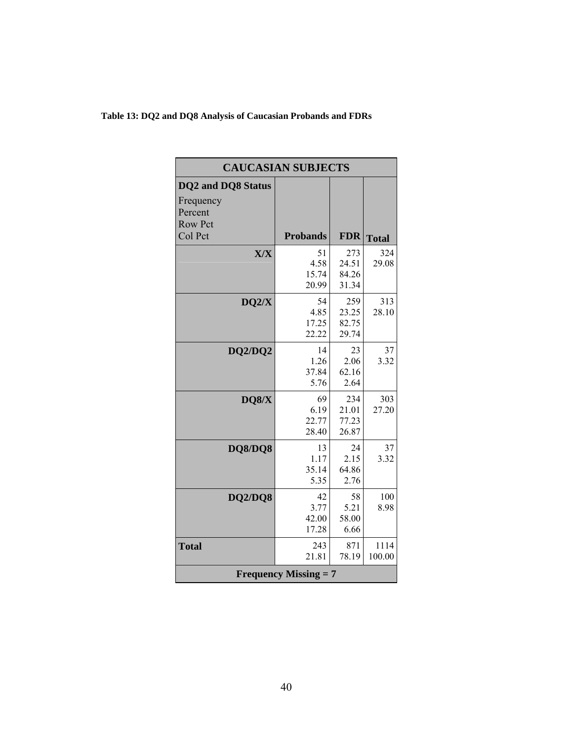**Table 13: DQ2 and DQ8 Analysis of Caucasian Probands and FDRs** 

| <b>CAUCASIAN SUBJECTS</b> |                                                                                                                      |                                                                                                                 |  |  |
|---------------------------|----------------------------------------------------------------------------------------------------------------------|-----------------------------------------------------------------------------------------------------------------|--|--|
|                           |                                                                                                                      |                                                                                                                 |  |  |
|                           |                                                                                                                      |                                                                                                                 |  |  |
|                           |                                                                                                                      |                                                                                                                 |  |  |
|                           |                                                                                                                      |                                                                                                                 |  |  |
| <b>Probands</b>           | <b>FDR</b>                                                                                                           | <b>Total</b>                                                                                                    |  |  |
|                           |                                                                                                                      | 324                                                                                                             |  |  |
|                           |                                                                                                                      | 29.08                                                                                                           |  |  |
|                           |                                                                                                                      |                                                                                                                 |  |  |
|                           |                                                                                                                      |                                                                                                                 |  |  |
|                           |                                                                                                                      |                                                                                                                 |  |  |
|                           |                                                                                                                      | 313<br>28.10                                                                                                    |  |  |
|                           |                                                                                                                      |                                                                                                                 |  |  |
|                           |                                                                                                                      |                                                                                                                 |  |  |
|                           |                                                                                                                      |                                                                                                                 |  |  |
|                           |                                                                                                                      | 37                                                                                                              |  |  |
|                           |                                                                                                                      | 3.32                                                                                                            |  |  |
|                           |                                                                                                                      |                                                                                                                 |  |  |
|                           |                                                                                                                      |                                                                                                                 |  |  |
| 69                        | 234                                                                                                                  | 303                                                                                                             |  |  |
| 6.19                      | 21.01                                                                                                                | 27.20                                                                                                           |  |  |
|                           | 77.23                                                                                                                |                                                                                                                 |  |  |
|                           |                                                                                                                      |                                                                                                                 |  |  |
| 13                        | 24                                                                                                                   | 37                                                                                                              |  |  |
| 1.17                      | 2.15                                                                                                                 | 3.32                                                                                                            |  |  |
| 35.14                     | 64.86                                                                                                                |                                                                                                                 |  |  |
| 5.35                      | 2.76                                                                                                                 |                                                                                                                 |  |  |
| 42                        | 58                                                                                                                   | 100                                                                                                             |  |  |
| 3.77                      | 5.21                                                                                                                 | 8.98                                                                                                            |  |  |
| 42.00                     | 58.00                                                                                                                |                                                                                                                 |  |  |
| 17.28                     | 6.66                                                                                                                 |                                                                                                                 |  |  |
|                           |                                                                                                                      | 1114                                                                                                            |  |  |
| 21.81                     | 78.19                                                                                                                | 100.00                                                                                                          |  |  |
|                           |                                                                                                                      |                                                                                                                 |  |  |
|                           | 51<br>4.58<br>15.74<br>20.99<br>54<br>4.85<br>17.25<br>22.22<br>14<br>1.26<br>37.84<br>5.76<br>22.77<br>28.40<br>243 | 273<br>24.51<br>84.26<br>31.34<br>259<br>23.25<br>82.75<br>29.74<br>23<br>2.06<br>62.16<br>2.64<br>26.87<br>871 |  |  |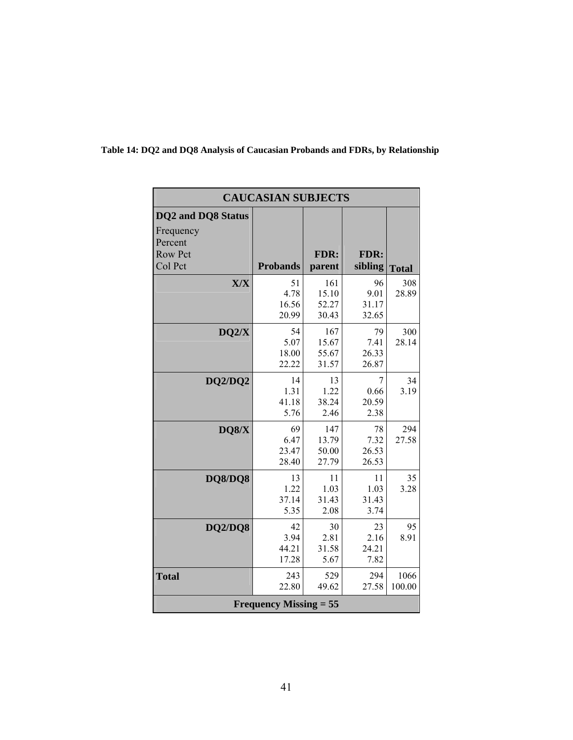| <b>CAUCASIAN SUBJECTS</b> |                               |        |         |              |  |  |  |
|---------------------------|-------------------------------|--------|---------|--------------|--|--|--|
| <b>DQ2</b> and DQ8 Status |                               |        |         |              |  |  |  |
| Frequency<br>Percent      |                               |        |         |              |  |  |  |
| <b>Row Pct</b>            |                               | FDR:   | FDR:    |              |  |  |  |
| Col Pct                   | <b>Probands</b>               | parent | sibling | <b>Total</b> |  |  |  |
| X/X                       | 51                            | 161    | 96      | 308          |  |  |  |
|                           | 4.78                          | 15.10  | 9.01    | 28.89        |  |  |  |
|                           | 16.56                         | 52.27  | 31.17   |              |  |  |  |
|                           | 20.99                         | 30.43  | 32.65   |              |  |  |  |
| DQ2/X                     | 54                            | 167    | 79      | 300          |  |  |  |
|                           | 5.07                          | 15.67  | 7.41    | 28.14        |  |  |  |
|                           | 18.00                         | 55.67  | 26.33   |              |  |  |  |
|                           | 22.22                         | 31.57  | 26.87   |              |  |  |  |
| DQ2/DQ2                   | 14                            | 13     | 7       | 34           |  |  |  |
|                           | 1.31                          | 1.22   | 0.66    | 3.19         |  |  |  |
|                           | 41.18                         | 38.24  | 20.59   |              |  |  |  |
|                           | 5.76                          | 2.46   | 2.38    |              |  |  |  |
| DQ8/X                     | 69                            | 147    | 78      | 294          |  |  |  |
|                           | 6.47                          | 13.79  | 7.32    | 27.58        |  |  |  |
|                           | 23.47                         | 50.00  | 26.53   |              |  |  |  |
|                           | 28.40                         | 27.79  | 26.53   |              |  |  |  |
| DQ8/DQ8                   | 13                            | 11     | 11      | 35           |  |  |  |
|                           | 1.22                          | 1.03   | 1.03    | 3.28         |  |  |  |
|                           | 37.14                         | 31.43  | 31.43   |              |  |  |  |
|                           | 5.35                          | 2.08   | 3.74    |              |  |  |  |
| <b>DQ2/DQ8</b>            | 42                            | 30     | 23      | 95           |  |  |  |
|                           | 3.94                          | 2.81   | 2.16    | 8.91         |  |  |  |
|                           | 44.21                         | 31.58  | 24.21   |              |  |  |  |
|                           | 17.28                         | 5.67   | 7.82    |              |  |  |  |
| <b>Total</b>              | 243                           | 529    | 294     | 1066         |  |  |  |
|                           | 22.80                         | 49.62  | 27.58   | 100.00       |  |  |  |
|                           | <b>Frequency Missing = 55</b> |        |         |              |  |  |  |
|                           |                               |        |         |              |  |  |  |

# **Table 14: DQ2 and DQ8 Analysis of Caucasian Probands and FDRs, by Relationship**

<u> 1980 - Johann Barnett, fransk politiker (d. 1980)</u>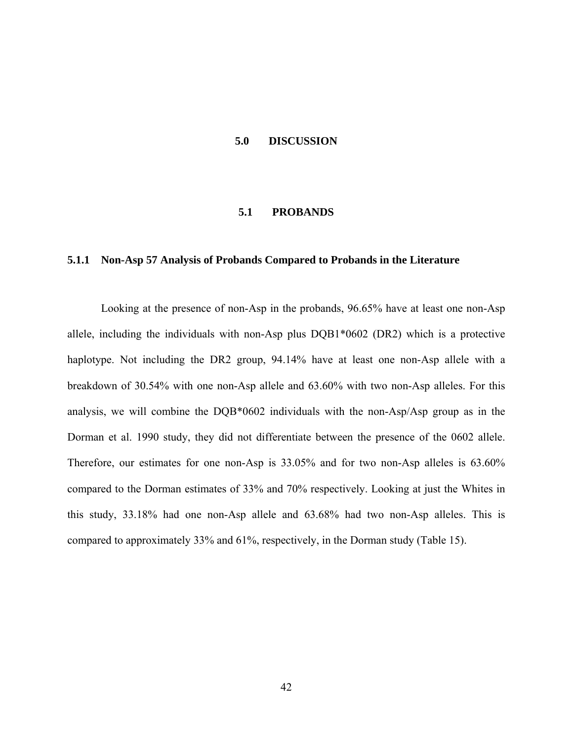### **5.0 DISCUSSION**

### **5.1 PROBANDS**

### **5.1.1 Non-Asp 57 Analysis of Probands Compared to Probands in the Literature**

Looking at the presence of non-Asp in the probands, 96.65% have at least one non-Asp allele, including the individuals with non-Asp plus DQB1\*0602 (DR2) which is a protective haplotype. Not including the DR2 group, 94.14% have at least one non-Asp allele with a breakdown of 30.54% with one non-Asp allele and 63.60% with two non-Asp alleles. For this analysis, we will combine the DQB\*0602 individuals with the non-Asp/Asp group as in the Dorman et al. 1990 study, they did not differentiate between the presence of the 0602 allele. Therefore, our estimates for one non-Asp is 33.05% and for two non-Asp alleles is 63.60% compared to the Dorman estimates of 33% and 70% respectively. Looking at just the Whites in this study, 33.18% had one non-Asp allele and 63.68% had two non-Asp alleles. This is compared to approximately 33% and 61%, respectively, in the Dorman study (Table 15).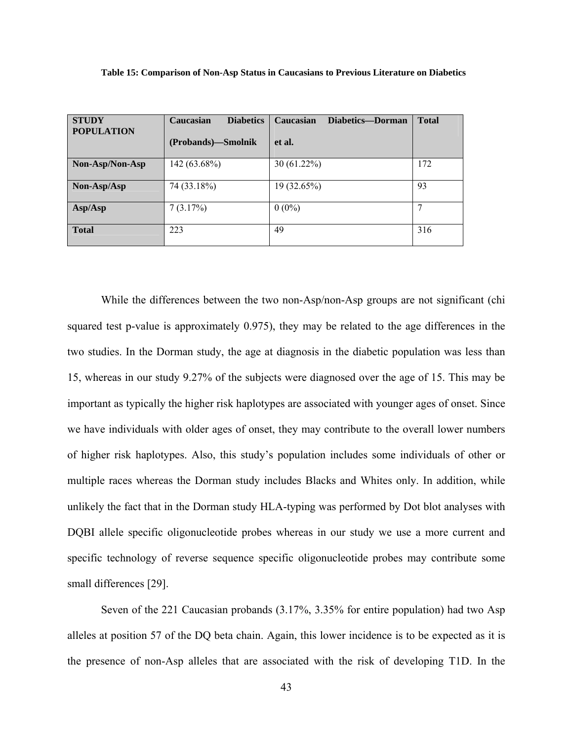| <b>STUDY</b><br><b>POPULATION</b> | <b>Diabetics</b><br>Caucasian<br>(Probands)-Smolnik | Diabetics-Dorman<br>Caucasian<br>et al. | <b>Total</b> |
|-----------------------------------|-----------------------------------------------------|-----------------------------------------|--------------|
| Non-Asp/Non-Asp                   | 142 (63.68%)                                        | $30(61.22\%)$                           | 172          |
| Non-Asp/Asp                       | 74 (33.18%)                                         | 19 (32.65%)                             | 93           |
| Asp/Asp                           | 7(3.17%)                                            | $0(0\%)$                                |              |
| <b>Total</b>                      | 223                                                 | 49                                      | 316          |

**Table 15: Comparison of Non-Asp Status in Caucasians to Previous Literature on Diabetics** 

While the differences between the two non-Asp/non-Asp groups are not significant (chi squared test p-value is approximately 0.975), they may be related to the age differences in the two studies. In the Dorman study, the age at diagnosis in the diabetic population was less than 15, whereas in our study 9.27% of the subjects were diagnosed over the age of 15. This may be important as typically the higher risk haplotypes are associated with younger ages of onset. Since we have individuals with older ages of onset, they may contribute to the overall lower numbers of higher risk haplotypes. Also, this study's population includes some individuals of other or multiple races whereas the Dorman study includes Blacks and Whites only. In addition, while unlikely the fact that in the Dorman study HLA-typing was performed by Dot blot analyses with DQBI allele specific oligonucleotide probes whereas in our study we use a more current and specific technology of reverse sequence specific oligonucleotide probes may contribute some small differences [29].

Seven of the 221 Caucasian probands (3.17%, 3.35% for entire population) had two Asp alleles at position 57 of the DQ beta chain. Again, this lower incidence is to be expected as it is the presence of non-Asp alleles that are associated with the risk of developing T1D. In the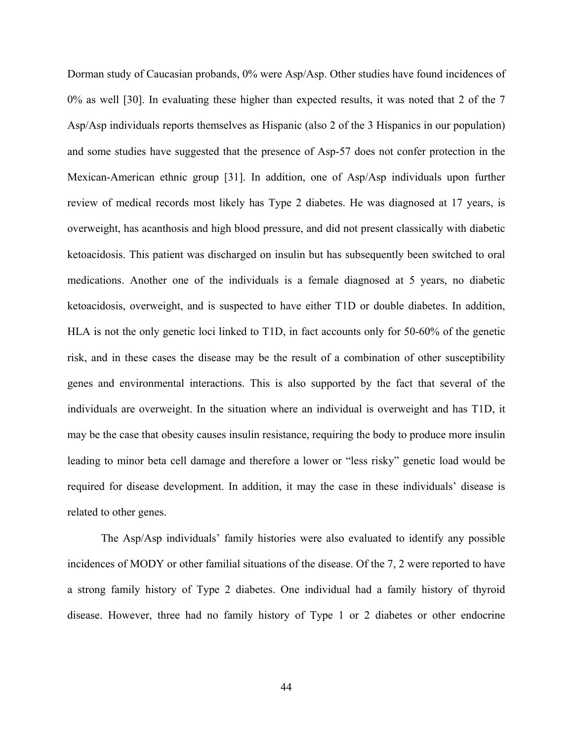Dorman study of Caucasian probands, 0% were Asp/Asp. Other studies have found incidences of 0% as well [30]. In evaluating these higher than expected results, it was noted that 2 of the 7 Asp/Asp individuals reports themselves as Hispanic (also 2 of the 3 Hispanics in our population) and some studies have suggested that the presence of Asp-57 does not confer protection in the Mexican-American ethnic group [31]. In addition, one of Asp/Asp individuals upon further review of medical records most likely has Type 2 diabetes. He was diagnosed at 17 years, is overweight, has acanthosis and high blood pressure, and did not present classically with diabetic ketoacidosis. This patient was discharged on insulin but has subsequently been switched to oral medications. Another one of the individuals is a female diagnosed at 5 years, no diabetic ketoacidosis, overweight, and is suspected to have either T1D or double diabetes. In addition, HLA is not the only genetic loci linked to T1D, in fact accounts only for 50-60% of the genetic risk, and in these cases the disease may be the result of a combination of other susceptibility genes and environmental interactions. This is also supported by the fact that several of the individuals are overweight. In the situation where an individual is overweight and has T1D, it may be the case that obesity causes insulin resistance, requiring the body to produce more insulin leading to minor beta cell damage and therefore a lower or "less risky" genetic load would be required for disease development. In addition, it may the case in these individuals' disease is related to other genes.

The Asp/Asp individuals' family histories were also evaluated to identify any possible incidences of MODY or other familial situations of the disease. Of the 7, 2 were reported to have a strong family history of Type 2 diabetes. One individual had a family history of thyroid disease. However, three had no family history of Type 1 or 2 diabetes or other endocrine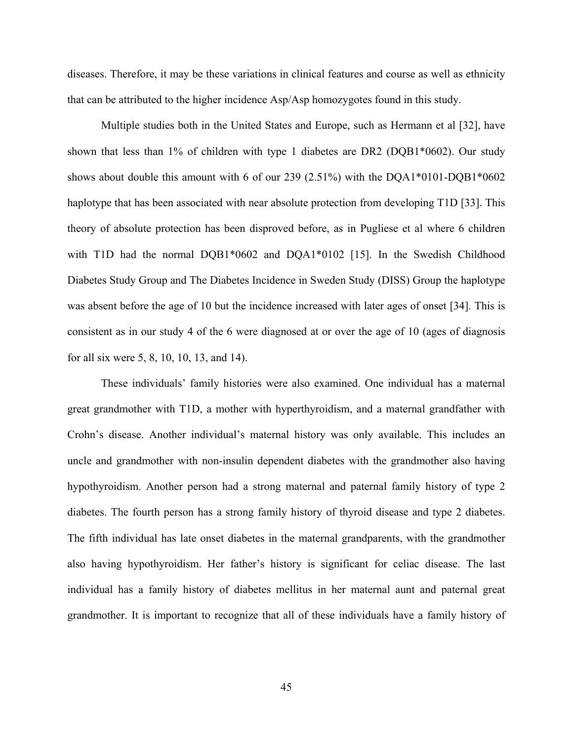diseases. Therefore, it may be these variations in clinical features and course as well as ethnicity that can be attributed to the higher incidence Asp/Asp homozygotes found in this study.

Multiple studies both in the United States and Europe, such as Hermann et al [32], have shown that less than 1% of children with type 1 diabetes are DR2 (DQB1\*0602). Our study shows about double this amount with 6 of our 239 (2.51%) with the DQA1\*0101-DQB1\*0602 haplotype that has been associated with near absolute protection from developing T1D [33]. This theory of absolute protection has been disproved before, as in Pugliese et al where 6 children with T1D had the normal DQB1\*0602 and DQA1\*0102 [15]. In the Swedish Childhood Diabetes Study Group and The Diabetes Incidence in Sweden Study (DISS) Group the haplotype was absent before the age of 10 but the incidence increased with later ages of onset [34]. This is consistent as in our study 4 of the 6 were diagnosed at or over the age of 10 (ages of diagnosis for all six were 5, 8, 10, 10, 13, and 14).

These individuals' family histories were also examined. One individual has a maternal great grandmother with T1D, a mother with hyperthyroidism, and a maternal grandfather with Crohn's disease. Another individual's maternal history was only available. This includes an uncle and grandmother with non-insulin dependent diabetes with the grandmother also having hypothyroidism. Another person had a strong maternal and paternal family history of type 2 diabetes. The fourth person has a strong family history of thyroid disease and type 2 diabetes. The fifth individual has late onset diabetes in the maternal grandparents, with the grandmother also having hypothyroidism. Her father's history is significant for celiac disease. The last individual has a family history of diabetes mellitus in her maternal aunt and paternal great grandmother. It is important to recognize that all of these individuals have a family history of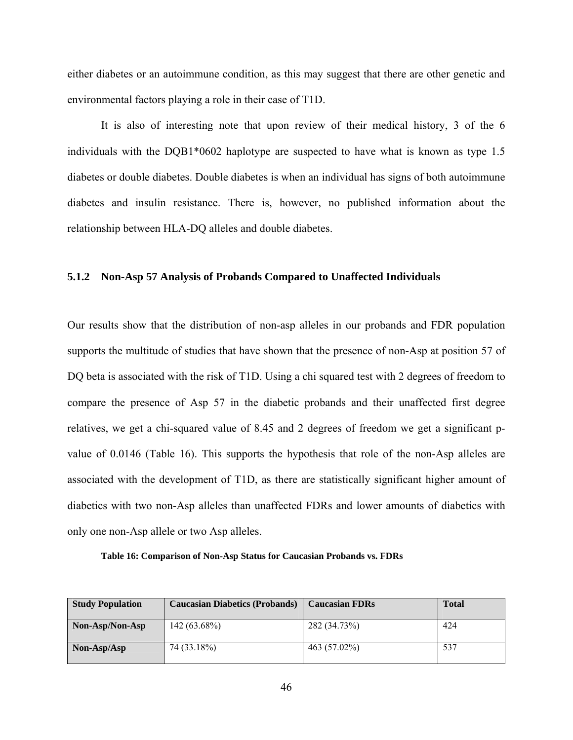either diabetes or an autoimmune condition, as this may suggest that there are other genetic and environmental factors playing a role in their case of T1D.

It is also of interesting note that upon review of their medical history, 3 of the 6 individuals with the DQB1\*0602 haplotype are suspected to have what is known as type 1.5 diabetes or double diabetes. Double diabetes is when an individual has signs of both autoimmune diabetes and insulin resistance. There is, however, no published information about the relationship between HLA-DQ alleles and double diabetes.

### **5.1.2 Non-Asp 57 Analysis of Probands Compared to Unaffected Individuals**

Our results show that the distribution of non-asp alleles in our probands and FDR population supports the multitude of studies that have shown that the presence of non-Asp at position 57 of DQ beta is associated with the risk of T1D. Using a chi squared test with 2 degrees of freedom to compare the presence of Asp 57 in the diabetic probands and their unaffected first degree relatives, we get a chi-squared value of 8.45 and 2 degrees of freedom we get a significant pvalue of 0.0146 (Table 16). This supports the hypothesis that role of the non-Asp alleles are associated with the development of T1D, as there are statistically significant higher amount of diabetics with two non-Asp alleles than unaffected FDRs and lower amounts of diabetics with only one non-Asp allele or two Asp alleles.

**Table 16: Comparison of Non-Asp Status for Caucasian Probands vs. FDRs** 

| <b>Study Population</b> | <b>Caucasian Diabetics (Probands)</b> | <b>Caucasian FDRs</b> | <b>Total</b> |
|-------------------------|---------------------------------------|-----------------------|--------------|
| Non-Asp/Non-Asp         | $142(63.68\%)$                        | 282 (34.73%)          | 424          |
| Non-Asp/Asp             | 74 (33.18%)                           | 463 (57.02%)          | 537          |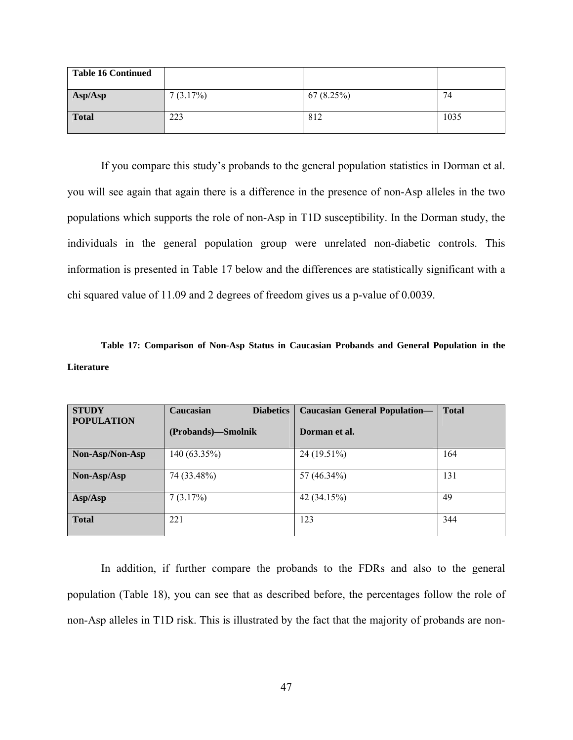| <b>Table 16 Continued</b> |          |           |      |
|---------------------------|----------|-----------|------|
| Asp/Asp                   | 7(3.17%) | 67(8.25%) | 74   |
| <b>Total</b>              | 223      | 812       | 1035 |

If you compare this study's probands to the general population statistics in Dorman et al. you will see again that again there is a difference in the presence of non-Asp alleles in the two populations which supports the role of non-Asp in T1D susceptibility. In the Dorman study, the individuals in the general population group were unrelated non-diabetic controls. This information is presented in Table 17 below and the differences are statistically significant with a chi squared value of 11.09 and 2 degrees of freedom gives us a p-value of 0.0039.

**Table 17: Comparison of Non-Asp Status in Caucasian Probands and General Population in the Literature** 

| <b>STUDY</b><br><b>POPULATION</b> | Caucasian<br><b>Diabetics</b> | <b>Caucasian General Population-</b> | <b>Total</b> |
|-----------------------------------|-------------------------------|--------------------------------------|--------------|
|                                   | (Probands)—Smolnik            | Dorman et al.                        |              |
| Non-Asp/Non-Asp                   | $140(63.35\%)$                | 24 (19.51%)                          | 164          |
| Non-Asp/Asp                       | 74 (33.48%)                   | 57 (46.34%)                          | 131          |
| Asp/Asp                           | 7(3.17%)                      | 42 (34.15%)                          | 49           |
| <b>Total</b>                      | 221                           | 123                                  | 344          |

In addition, if further compare the probands to the FDRs and also to the general population (Table 18), you can see that as described before, the percentages follow the role of non-Asp alleles in T1D risk. This is illustrated by the fact that the majority of probands are non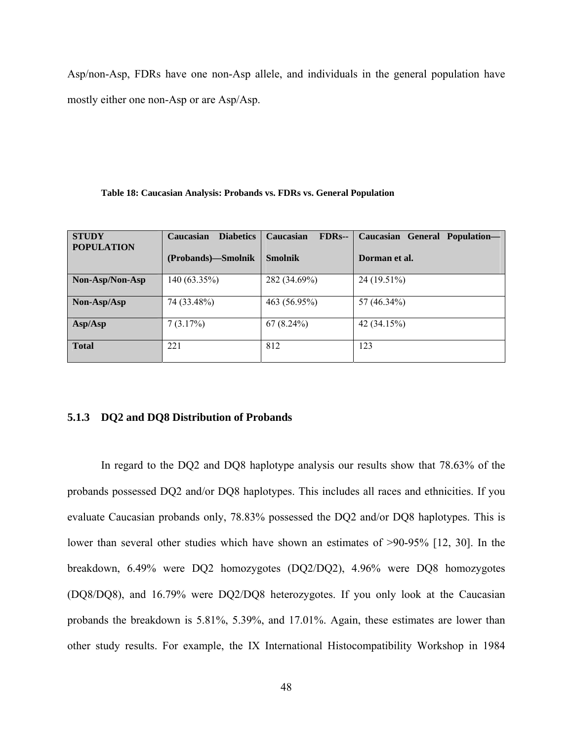Asp/non-Asp, FDRs have one non-Asp allele, and individuals in the general population have mostly either one non-Asp or are Asp/Asp.

#### **Table 18: Caucasian Analysis: Probands vs. FDRs vs. General Population**

| <b>STUDY</b><br><b>POPULATION</b> | <b>Diabetics</b><br>Caucasian<br>(Probands)—Smolnik | Caucasian<br><b>FDRs--</b><br><b>Smolnik</b> | Caucasian General Population-<br>Dorman et al. |
|-----------------------------------|-----------------------------------------------------|----------------------------------------------|------------------------------------------------|
| Non-Asp/Non-Asp                   | 140 (63.35%)                                        | 282 (34.69%)                                 | 24 (19.51%)                                    |
| $Non-Asp/Asp$                     | 74 (33.48%)                                         | 463 (56.95%)                                 | 57 (46.34%)                                    |
| Asp/Asp                           | 7(3.17%)                                            | $67(8.24\%)$                                 | 42 (34.15%)                                    |
| <b>Total</b>                      | 221                                                 | 812                                          | 123                                            |

#### **5.1.3 DQ2 and DQ8 Distribution of Probands**

In regard to the DQ2 and DQ8 haplotype analysis our results show that 78.63% of the probands possessed DQ2 and/or DQ8 haplotypes. This includes all races and ethnicities. If you evaluate Caucasian probands only, 78.83% possessed the DQ2 and/or DQ8 haplotypes. This is lower than several other studies which have shown an estimates of >90-95% [12, 30]. In the breakdown, 6.49% were DQ2 homozygotes (DQ2/DQ2), 4.96% were DQ8 homozygotes (DQ8/DQ8), and 16.79% were DQ2/DQ8 heterozygotes. If you only look at the Caucasian probands the breakdown is 5.81%, 5.39%, and 17.01%. Again, these estimates are lower than other study results. For example, the IX International Histocompatibility Workshop in 1984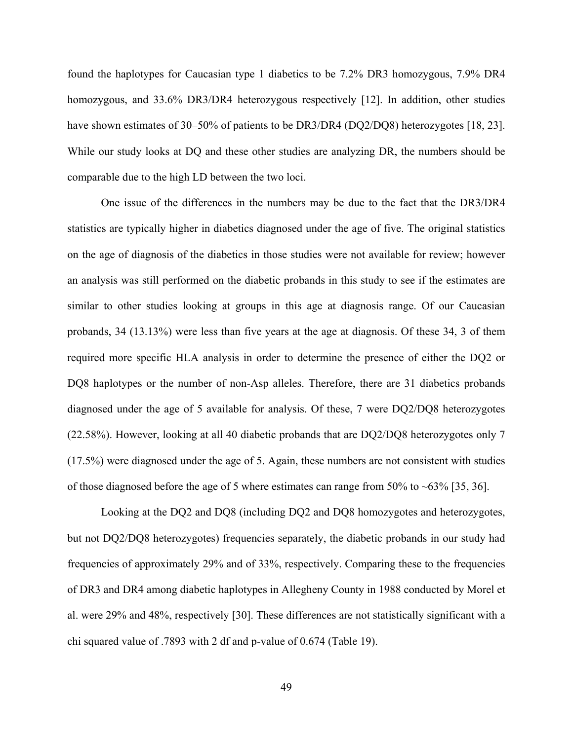found the haplotypes for Caucasian type 1 diabetics to be 7.2% DR3 homozygous, 7.9% DR4 homozygous, and 33.6% DR3/DR4 heterozygous respectively [12]. In addition, other studies have shown estimates of 30–50% of patients to be DR3/DR4 (DQ2/DQ8) heterozygotes [18, 23]. While our study looks at DQ and these other studies are analyzing DR, the numbers should be comparable due to the high LD between the two loci.

One issue of the differences in the numbers may be due to the fact that the DR3/DR4 statistics are typically higher in diabetics diagnosed under the age of five. The original statistics on the age of diagnosis of the diabetics in those studies were not available for review; however an analysis was still performed on the diabetic probands in this study to see if the estimates are similar to other studies looking at groups in this age at diagnosis range. Of our Caucasian probands, 34 (13.13%) were less than five years at the age at diagnosis. Of these 34, 3 of them required more specific HLA analysis in order to determine the presence of either the DQ2 or DQ8 haplotypes or the number of non-Asp alleles. Therefore, there are 31 diabetics probands diagnosed under the age of 5 available for analysis. Of these, 7 were DQ2/DQ8 heterozygotes (22.58%). However, looking at all 40 diabetic probands that are DQ2/DQ8 heterozygotes only 7 (17.5%) were diagnosed under the age of 5. Again, these numbers are not consistent with studies of those diagnosed before the age of 5 where estimates can range from 50% to  $\sim 63\%$  [35, 36].

Looking at the DQ2 and DQ8 (including DQ2 and DQ8 homozygotes and heterozygotes, but not DQ2/DQ8 heterozygotes) frequencies separately, the diabetic probands in our study had frequencies of approximately 29% and of 33%, respectively. Comparing these to the frequencies of DR3 and DR4 among diabetic haplotypes in Allegheny County in 1988 conducted by Morel et al. were 29% and 48%, respectively [30]. These differences are not statistically significant with a chi squared value of .7893 with 2 df and p-value of 0.674 (Table 19).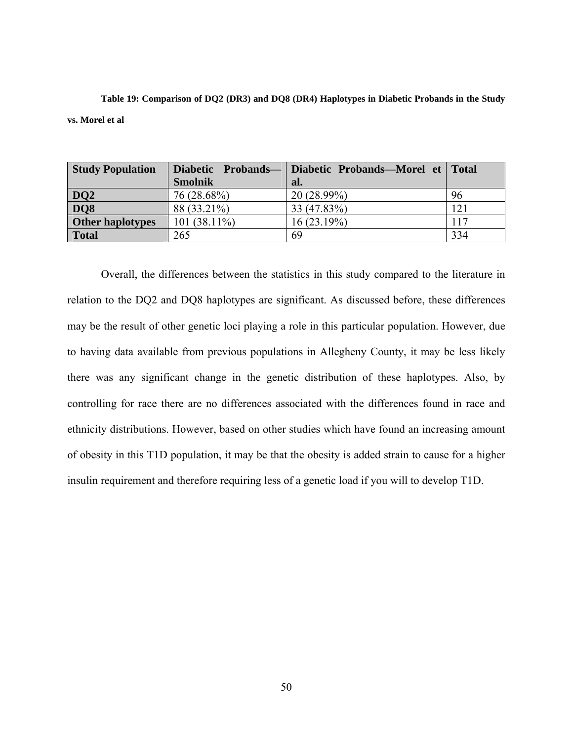**Table 19: Comparison of DQ2 (DR3) and DQ8 (DR4) Haplotypes in Diabetic Probands in the Study vs. Morel et al** 

| <b>Study Population</b> | Diabetic Probands— | Diabetic Probands—Morel et Total |     |
|-------------------------|--------------------|----------------------------------|-----|
|                         | <b>Smolnik</b>     | al.                              |     |
| $\frac{DQ2}{DQ8}$       | 76 (28.68%)        | $20(28.99\%)$                    | 96  |
|                         | 88 (33.21%)        | 33 (47.83%)                      | 121 |
| <b>Other haplotypes</b> | $101(38.11\%)$     | 16(23.19%)                       | 117 |
| <b>Total</b>            | 265                | 69                               | 334 |

Overall, the differences between the statistics in this study compared to the literature in relation to the DQ2 and DQ8 haplotypes are significant. As discussed before, these differences may be the result of other genetic loci playing a role in this particular population. However, due to having data available from previous populations in Allegheny County, it may be less likely there was any significant change in the genetic distribution of these haplotypes. Also, by controlling for race there are no differences associated with the differences found in race and ethnicity distributions. However, based on other studies which have found an increasing amount of obesity in this T1D population, it may be that the obesity is added strain to cause for a higher insulin requirement and therefore requiring less of a genetic load if you will to develop T1D.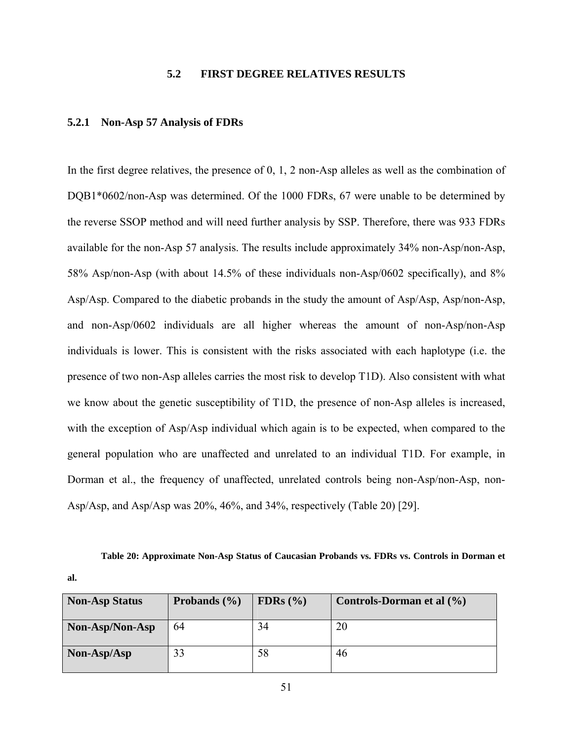# **5.2 FIRST DEGREE RELATIVES RESULTS**

# **5.2.1 Non-Asp 57 Analysis of FDRs**

**al.** 

In the first degree relatives, the presence of 0, 1, 2 non-Asp alleles as well as the combination of DQB1\*0602/non-Asp was determined. Of the 1000 FDRs, 67 were unable to be determined by the reverse SSOP method and will need further analysis by SSP. Therefore, there was 933 FDRs available for the non-Asp 57 analysis. The results include approximately 34% non-Asp/non-Asp, 58% Asp/non-Asp (with about 14.5% of these individuals non-Asp/0602 specifically), and 8% Asp/Asp. Compared to the diabetic probands in the study the amount of Asp/Asp, Asp/non-Asp, and non-Asp/0602 individuals are all higher whereas the amount of non-Asp/non-Asp individuals is lower. This is consistent with the risks associated with each haplotype (i.e. the presence of two non-Asp alleles carries the most risk to develop T1D). Also consistent with what we know about the genetic susceptibility of T1D, the presence of non-Asp alleles is increased, with the exception of Asp/Asp individual which again is to be expected, when compared to the general population who are unaffected and unrelated to an individual T1D. For example, in Dorman et al., the frequency of unaffected, unrelated controls being non-Asp/non-Asp, non-Asp/Asp, and Asp/Asp was 20%, 46%, and 34%, respectively (Table 20) [29].

**Table 20: Approximate Non-Asp Status of Caucasian Probands vs. FDRs vs. Controls in Dorman et** 

| <b>Non-Asp Status</b> | Probands $(\% )$ | FDRs $(\% )$ | Controls-Dorman et al $(\% )$ |
|-----------------------|------------------|--------------|-------------------------------|
| Non-Asp/Non-Asp       | 64               | 34           | 20                            |
| Non-Asp/Asp           | 33               | 58           | 46                            |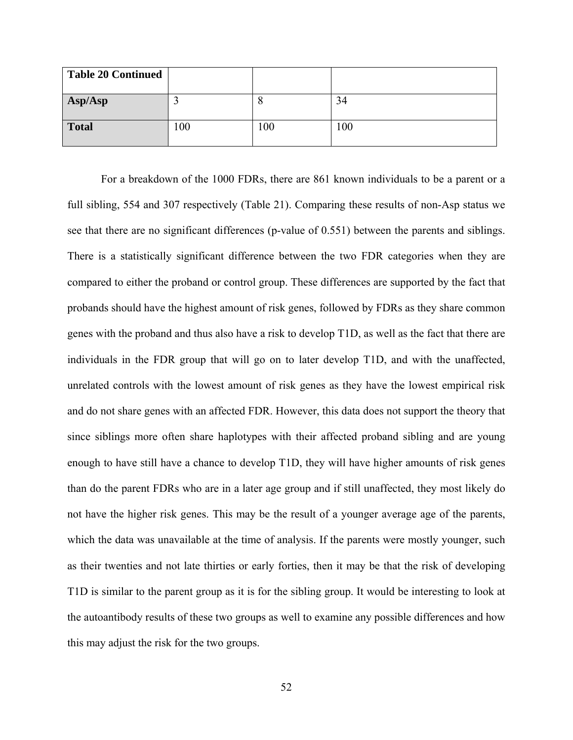| <b>Table 20 Continued</b> |     |    |     |
|---------------------------|-----|----|-----|
| Asp/Asp                   |     | ω  | 34  |
| <b>Total</b>              | 100 | 00 | 100 |

For a breakdown of the 1000 FDRs, there are 861 known individuals to be a parent or a full sibling, 554 and 307 respectively (Table 21). Comparing these results of non-Asp status we see that there are no significant differences (p-value of 0.551) between the parents and siblings. There is a statistically significant difference between the two FDR categories when they are compared to either the proband or control group. These differences are supported by the fact that probands should have the highest amount of risk genes, followed by FDRs as they share common genes with the proband and thus also have a risk to develop T1D, as well as the fact that there are individuals in the FDR group that will go on to later develop T1D, and with the unaffected, unrelated controls with the lowest amount of risk genes as they have the lowest empirical risk and do not share genes with an affected FDR. However, this data does not support the theory that since siblings more often share haplotypes with their affected proband sibling and are young enough to have still have a chance to develop T1D, they will have higher amounts of risk genes than do the parent FDRs who are in a later age group and if still unaffected, they most likely do not have the higher risk genes. This may be the result of a younger average age of the parents, which the data was unavailable at the time of analysis. If the parents were mostly younger, such as their twenties and not late thirties or early forties, then it may be that the risk of developing T1D is similar to the parent group as it is for the sibling group. It would be interesting to look at the autoantibody results of these two groups as well to examine any possible differences and how this may adjust the risk for the two groups.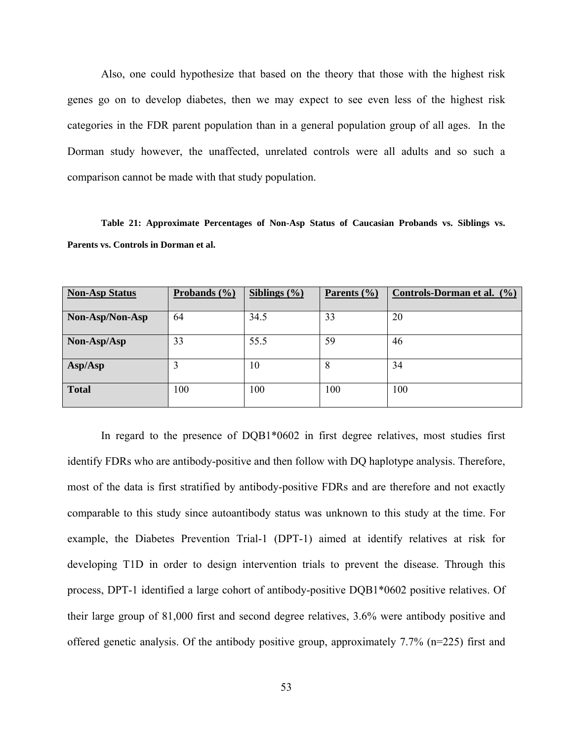Also, one could hypothesize that based on the theory that those with the highest risk genes go on to develop diabetes, then we may expect to see even less of the highest risk categories in the FDR parent population than in a general population group of all ages. In the Dorman study however, the unaffected, unrelated controls were all adults and so such a comparison cannot be made with that study population.

**Table 21: Approximate Percentages of Non-Asp Status of Caucasian Probands vs. Siblings vs. Parents vs. Controls in Dorman et al.** 

| <b>Non-Asp Status</b> | Probands $(\% )$ | Siblings $(\% )$ | Parents $(\% )$ | Controls-Dorman et al. (%) |
|-----------------------|------------------|------------------|-----------------|----------------------------|
|                       |                  |                  |                 |                            |
| Non-Asp/Non-Asp       | 64               | 34.5             | 33              | 20                         |
| Non-Asp/Asp           | 33               | 55.5             | 59              | 46                         |
| Asp/Asp               | 3                | 10               | 8               | 34                         |
| <b>Total</b>          | 100              | 100              | 100             | 100                        |

In regard to the presence of DQB1\*0602 in first degree relatives, most studies first identify FDRs who are antibody-positive and then follow with DQ haplotype analysis. Therefore, most of the data is first stratified by antibody-positive FDRs and are therefore and not exactly comparable to this study since autoantibody status was unknown to this study at the time. For example, the Diabetes Prevention Trial-1 (DPT-1) aimed at identify relatives at risk for developing T1D in order to design intervention trials to prevent the disease. Through this process, DPT-1 identified a large cohort of antibody-positive DQB1\*0602 positive relatives. Of their large group of 81,000 first and second degree relatives, 3.6% were antibody positive and offered genetic analysis. Of the antibody positive group, approximately 7.7% (n=225) first and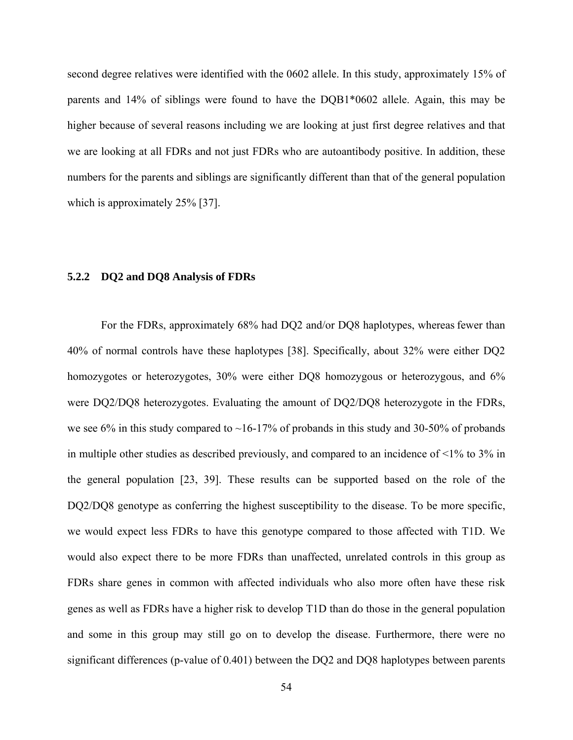second degree relatives were identified with the 0602 allele. In this study, approximately 15% of parents and 14% of siblings were found to have the DQB1\*0602 allele. Again, this may be higher because of several reasons including we are looking at just first degree relatives and that we are looking at all FDRs and not just FDRs who are autoantibody positive. In addition, these numbers for the parents and siblings are significantly different than that of the general population which is approximately 25% [37].

### **5.2.2 DQ2 and DQ8 Analysis of FDRs**

For the FDRs, approximately 68% had DQ2 and/or DQ8 haplotypes, whereas fewer than 40% of normal controls have these haplotypes [38]. Specifically, about 32% were either DQ2 homozygotes or heterozygotes, 30% were either DQ8 homozygous or heterozygous, and 6% were DQ2/DQ8 heterozygotes. Evaluating the amount of DQ2/DQ8 heterozygote in the FDRs, we see 6% in this study compared to  $\sim$ 16-17% of probands in this study and 30-50% of probands in multiple other studies as described previously, and compared to an incidence of <1% to 3% in the general population [23, 39]. These results can be supported based on the role of the DQ2/DQ8 genotype as conferring the highest susceptibility to the disease. To be more specific, we would expect less FDRs to have this genotype compared to those affected with T1D. We would also expect there to be more FDRs than unaffected, unrelated controls in this group as FDRs share genes in common with affected individuals who also more often have these risk genes as well as FDRs have a higher risk to develop T1D than do those in the general population and some in this group may still go on to develop the disease. Furthermore, there were no significant differences (p-value of 0.401) between the DQ2 and DQ8 haplotypes between parents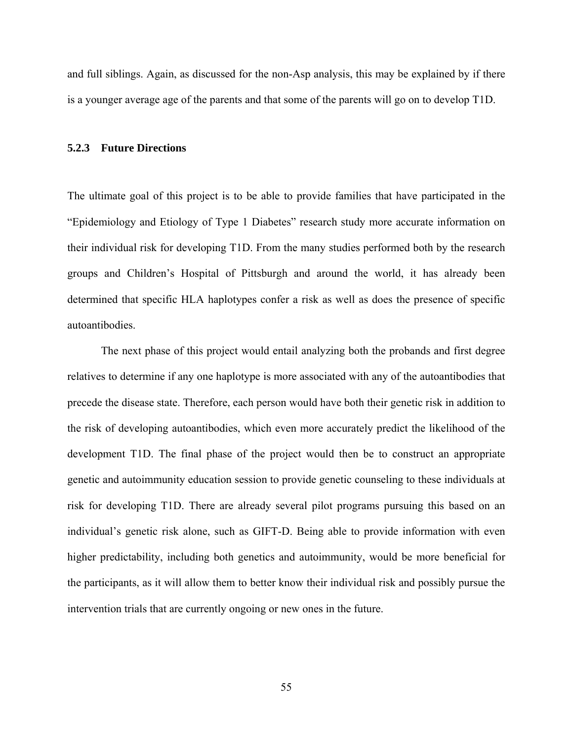and full siblings. Again, as discussed for the non-Asp analysis, this may be explained by if there is a younger average age of the parents and that some of the parents will go on to develop T1D.

#### **5.2.3 Future Directions**

The ultimate goal of this project is to be able to provide families that have participated in the "Epidemiology and Etiology of Type 1 Diabetes" research study more accurate information on their individual risk for developing T1D. From the many studies performed both by the research groups and Children's Hospital of Pittsburgh and around the world, it has already been determined that specific HLA haplotypes confer a risk as well as does the presence of specific autoantibodies.

The next phase of this project would entail analyzing both the probands and first degree relatives to determine if any one haplotype is more associated with any of the autoantibodies that precede the disease state. Therefore, each person would have both their genetic risk in addition to the risk of developing autoantibodies, which even more accurately predict the likelihood of the development T1D. The final phase of the project would then be to construct an appropriate genetic and autoimmunity education session to provide genetic counseling to these individuals at risk for developing T1D. There are already several pilot programs pursuing this based on an individual's genetic risk alone, such as GIFT-D. Being able to provide information with even higher predictability, including both genetics and autoimmunity, would be more beneficial for the participants, as it will allow them to better know their individual risk and possibly pursue the intervention trials that are currently ongoing or new ones in the future.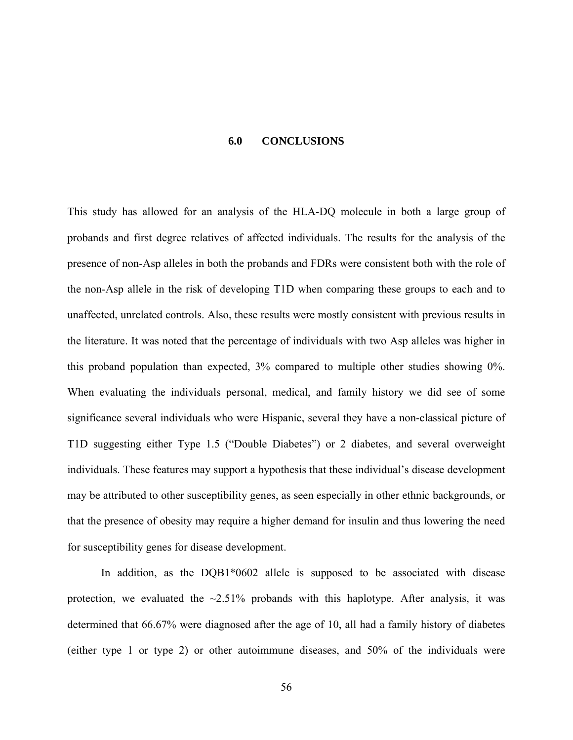#### **6.0 CONCLUSIONS**

This study has allowed for an analysis of the HLA-DQ molecule in both a large group of probands and first degree relatives of affected individuals. The results for the analysis of the presence of non-Asp alleles in both the probands and FDRs were consistent both with the role of the non-Asp allele in the risk of developing T1D when comparing these groups to each and to unaffected, unrelated controls. Also, these results were mostly consistent with previous results in the literature. It was noted that the percentage of individuals with two Asp alleles was higher in this proband population than expected, 3% compared to multiple other studies showing 0%. When evaluating the individuals personal, medical, and family history we did see of some significance several individuals who were Hispanic, several they have a non-classical picture of T1D suggesting either Type 1.5 ("Double Diabetes") or 2 diabetes, and several overweight individuals. These features may support a hypothesis that these individual's disease development may be attributed to other susceptibility genes, as seen especially in other ethnic backgrounds, or that the presence of obesity may require a higher demand for insulin and thus lowering the need for susceptibility genes for disease development.

In addition, as the DQB1\*0602 allele is supposed to be associated with disease protection, we evaluated the  $\sim$ 2.51% probands with this haplotype. After analysis, it was determined that 66.67% were diagnosed after the age of 10, all had a family history of diabetes (either type 1 or type 2) or other autoimmune diseases, and 50% of the individuals were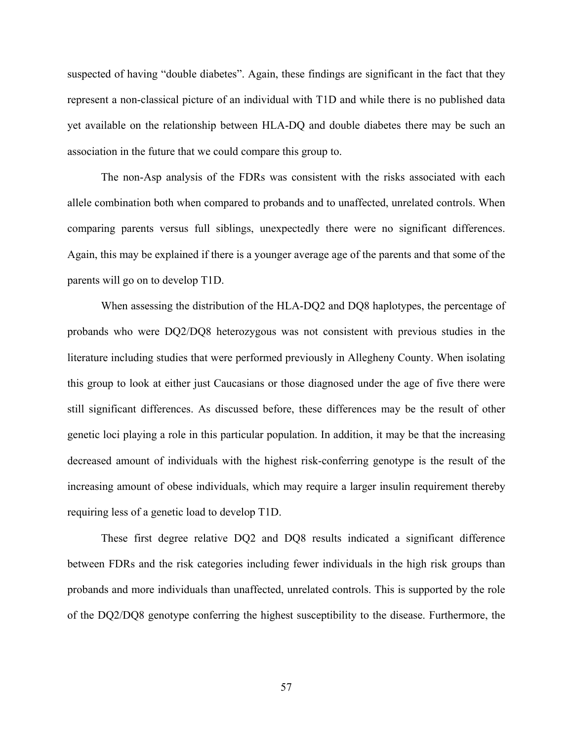suspected of having "double diabetes". Again, these findings are significant in the fact that they represent a non-classical picture of an individual with T1D and while there is no published data yet available on the relationship between HLA-DQ and double diabetes there may be such an association in the future that we could compare this group to.

The non-Asp analysis of the FDRs was consistent with the risks associated with each allele combination both when compared to probands and to unaffected, unrelated controls. When comparing parents versus full siblings, unexpectedly there were no significant differences. Again, this may be explained if there is a younger average age of the parents and that some of the parents will go on to develop T1D.

When assessing the distribution of the HLA-DQ2 and DQ8 haplotypes, the percentage of probands who were DQ2/DQ8 heterozygous was not consistent with previous studies in the literature including studies that were performed previously in Allegheny County. When isolating this group to look at either just Caucasians or those diagnosed under the age of five there were still significant differences. As discussed before, these differences may be the result of other genetic loci playing a role in this particular population. In addition, it may be that the increasing decreased amount of individuals with the highest risk-conferring genotype is the result of the increasing amount of obese individuals, which may require a larger insulin requirement thereby requiring less of a genetic load to develop T1D.

These first degree relative DQ2 and DQ8 results indicated a significant difference between FDRs and the risk categories including fewer individuals in the high risk groups than probands and more individuals than unaffected, unrelated controls. This is supported by the role of the DQ2/DQ8 genotype conferring the highest susceptibility to the disease. Furthermore, the

57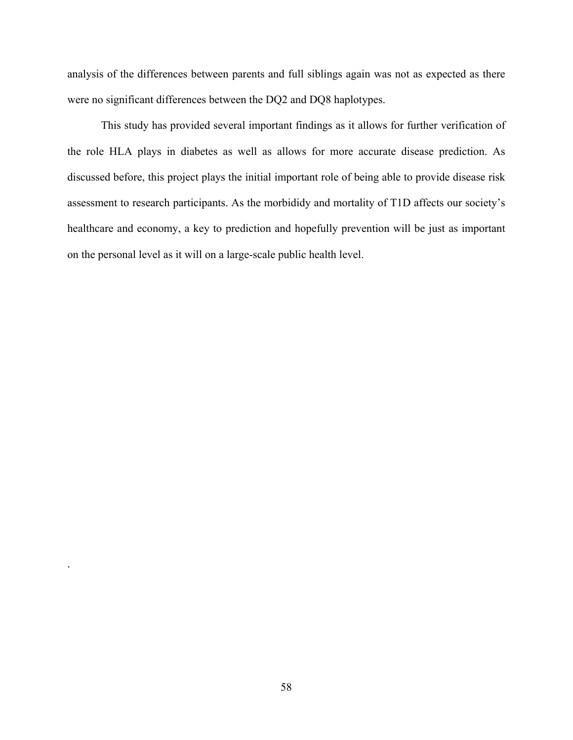analysis of the differences between parents and full siblings again was not as expected as there were no significant differences between the DQ2 and DQ8 haplotypes.

This study has provided several important findings as it allows for further verification of the role HLA plays in diabetes as well as allows for more accurate disease prediction. As discussed before, this project plays the initial important role of being able to provide disease risk assessment to research participants. As the morbididy and mortality of T1D affects our society's healthcare and economy, a key to prediction and hopefully prevention will be just as important on the personal level as it will on a large-scale public health level.

.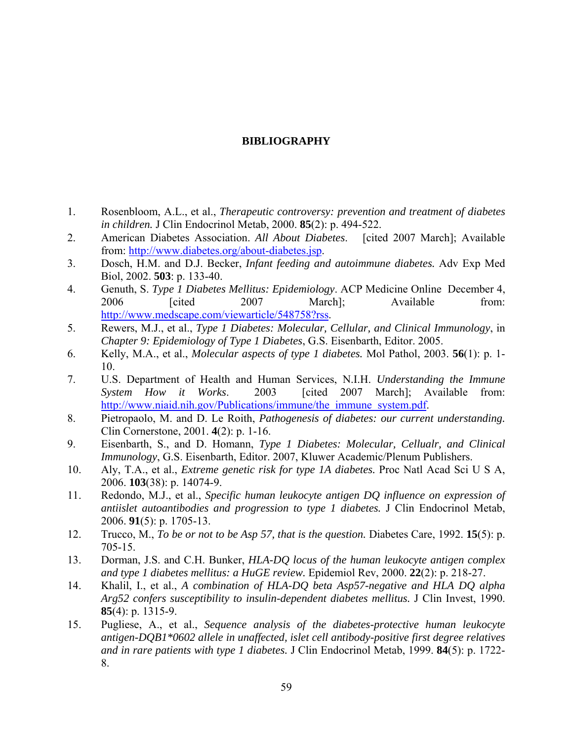# **BIBLIOGRAPHY**

- 1. Rosenbloom, A.L., et al., *Therapeutic controversy: prevention and treatment of diabetes in children.* J Clin Endocrinol Metab, 2000. **85**(2): p. 494-522.
- 2. American Diabetes Association. *All About Diabetes*. [cited 2007 March]; Available from: [http://www.diabetes.org/about-diabetes.jsp.](http://www.diabetes.org/about-diabetes.jsp)
- 3. Dosch, H.M. and D.J. Becker, *Infant feeding and autoimmune diabetes.* Adv Exp Med Biol, 2002. **503**: p. 133-40.
- 4. Genuth, S. *Type 1 Diabetes Mellitus: Epidemiology*. ACP Medicine Online December 4, 2006 [cited 2007 March]; Available from: <http://www.medscape.com/viewarticle/548758?rss>.
- 5. Rewers, M.J., et al., *Type 1 Diabetes: Molecular, Cellular, and Clinical Immunology*, in *Chapter 9: Epidemiology of Type 1 Diabetes*, G.S. Eisenbarth, Editor. 2005.
- 6. Kelly, M.A., et al., *Molecular aspects of type 1 diabetes.* Mol Pathol, 2003. **56**(1): p. 1- 10.
- 7. U.S. Department of Health and Human Services, N.I.H. *Understanding the Immune System How it Works*. 2003 [cited 2007 March]; Available from: [http://www.niaid.nih.gov/Publications/immune/the\\_immune\\_system.pdf.](http://www.niaid.nih.gov/Publications/immune/the_immune_system.pdf)
- 8. Pietropaolo, M. and D. Le Roith, *Pathogenesis of diabetes: our current understanding.* Clin Cornerstone, 2001. **4**(2): p. 1-16.
- 9. Eisenbarth, S., and D. Homann, *Type 1 Diabetes: Molecular, Cellualr, and Clinical Immunology*, G.S. Eisenbarth, Editor. 2007, Kluwer Academic/Plenum Publishers.
- 10. Aly, T.A., et al., *Extreme genetic risk for type 1A diabetes.* Proc Natl Acad Sci U S A, 2006. **103**(38): p. 14074-9.
- 11. Redondo, M.J., et al., *Specific human leukocyte antigen DQ influence on expression of antiislet autoantibodies and progression to type 1 diabetes.* J Clin Endocrinol Metab, 2006. **91**(5): p. 1705-13.
- 12. Trucco, M., *To be or not to be Asp 57, that is the question.* Diabetes Care, 1992. **15**(5): p. 705-15.
- 13. Dorman, J.S. and C.H. Bunker, *HLA-DQ locus of the human leukocyte antigen complex and type 1 diabetes mellitus: a HuGE review.* Epidemiol Rev, 2000. **22**(2): p. 218-27.
- 14. Khalil, I., et al., *A combination of HLA-DQ beta Asp57-negative and HLA DQ alpha Arg52 confers susceptibility to insulin-dependent diabetes mellitus.* J Clin Invest, 1990. **85**(4): p. 1315-9.
- 15. Pugliese, A., et al., *Sequence analysis of the diabetes-protective human leukocyte antigen-DQB1\*0602 allele in unaffected, islet cell antibody-positive first degree relatives and in rare patients with type 1 diabetes.* J Clin Endocrinol Metab, 1999. **84**(5): p. 1722- 8.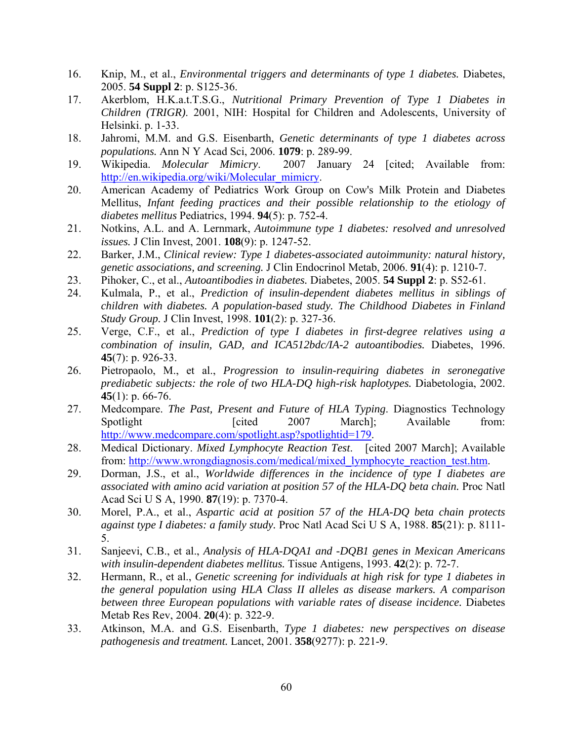- 16. Knip, M., et al., *Environmental triggers and determinants of type 1 diabetes.* Diabetes, 2005. **54 Suppl 2**: p. S125-36.
- 17. Akerblom, H.K.a.t.T.S.G., *Nutritional Primary Prevention of Type 1 Diabetes in Children (TRIGR)*. 2001, NIH: Hospital for Children and Adolescents, University of Helsinki. p. 1-33.
- 18. Jahromi, M.M. and G.S. Eisenbarth, *Genetic determinants of type 1 diabetes across populations.* Ann N Y Acad Sci, 2006. **1079**: p. 289-99.
- 19. Wikipedia. *Molecular Mimicry*. 2007 January 24 [cited; Available from: [http://en.wikipedia.org/wiki/Molecular\\_mimicry](http://en.wikipedia.org/wiki/Molecular_mimicry).
- 20. American Academy of Pediatrics Work Group on Cow's Milk Protein and Diabetes Mellitus, *Infant feeding practices and their possible relationship to the etiology of diabetes mellitus* Pediatrics, 1994. **94**(5): p. 752-4.
- 21. Notkins, A.L. and A. Lernmark, *Autoimmune type 1 diabetes: resolved and unresolved issues.* J Clin Invest, 2001. **108**(9): p. 1247-52.
- 22. Barker, J.M., *Clinical review: Type 1 diabetes-associated autoimmunity: natural history, genetic associations, and screening.* J Clin Endocrinol Metab, 2006. **91**(4): p. 1210-7.
- 23. Pihoker, C., et al., *Autoantibodies in diabetes.* Diabetes, 2005. **54 Suppl 2**: p. S52-61.
- 24. Kulmala, P., et al., *Prediction of insulin-dependent diabetes mellitus in siblings of children with diabetes. A population-based study. The Childhood Diabetes in Finland Study Group.* J Clin Invest, 1998. **101**(2): p. 327-36.
- 25. Verge, C.F., et al., *Prediction of type I diabetes in first-degree relatives using a combination of insulin, GAD, and ICA512bdc/IA-2 autoantibodies.* Diabetes, 1996. **45**(7): p. 926-33.
- 26. Pietropaolo, M., et al., *Progression to insulin-requiring diabetes in seronegative prediabetic subjects: the role of two HLA-DQ high-risk haplotypes.* Diabetologia, 2002. **45**(1): p. 66-76.
- 27. Medcompare. *The Past, Present and Future of HLA Typing*. Diagnostics Technology Spotlight [cited 2007 March]; Available from: <http://www.medcompare.com/spotlight.asp?spotlightid=179>.
- 28. Medical Dictionary. *Mixed Lymphocyte Reaction Test*. [cited 2007 March]; Available from: [http://www.wrongdiagnosis.com/medical/mixed\\_lymphocyte\\_reaction\\_test.htm](http://www.wrongdiagnosis.com/medical/mixed_lymphocyte_reaction_test.htm).
- 29. Dorman, J.S., et al., *Worldwide differences in the incidence of type I diabetes are associated with amino acid variation at position 57 of the HLA-DQ beta chain.* Proc Natl Acad Sci U S A, 1990. **87**(19): p. 7370-4.
- 30. Morel, P.A., et al., *Aspartic acid at position 57 of the HLA-DQ beta chain protects against type I diabetes: a family study.* Proc Natl Acad Sci U S A, 1988. **85**(21): p. 8111- 5.
- 31. Sanjeevi, C.B., et al., *Analysis of HLA-DQA1 and -DQB1 genes in Mexican Americans with insulin-dependent diabetes mellitus.* Tissue Antigens, 1993. **42**(2): p. 72-7.
- 32. Hermann, R., et al., *Genetic screening for individuals at high risk for type 1 diabetes in the general population using HLA Class II alleles as disease markers. A comparison between three European populations with variable rates of disease incidence.* Diabetes Metab Res Rev, 2004. **20**(4): p. 322-9.
- 33. Atkinson, M.A. and G.S. Eisenbarth, *Type 1 diabetes: new perspectives on disease pathogenesis and treatment.* Lancet, 2001. **358**(9277): p. 221-9.